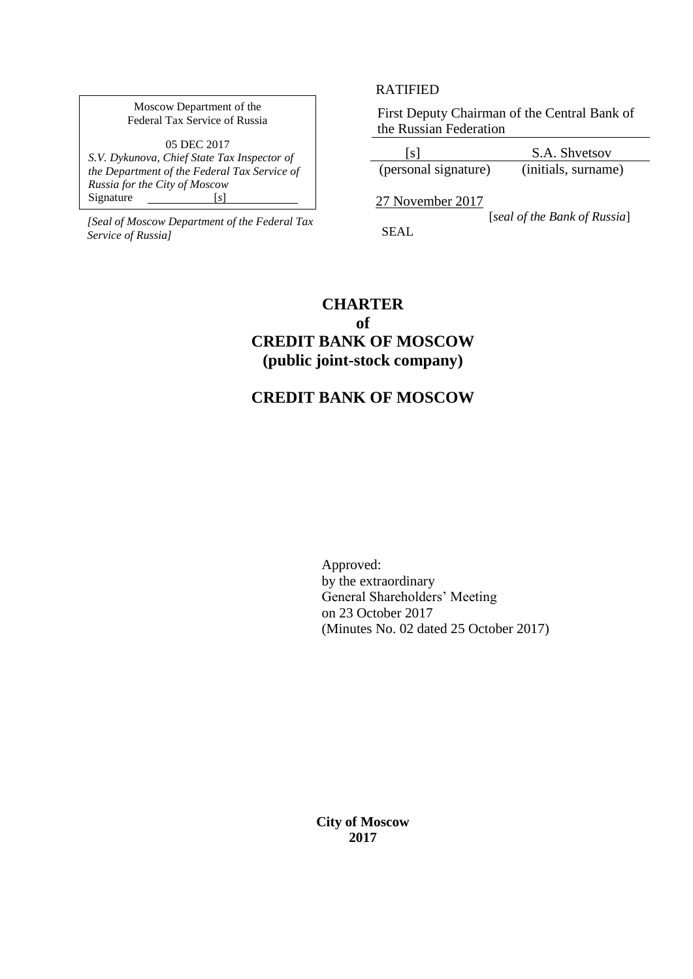Moscow Department of the Federal Tax Service of Russia

05 DEC 2017 *S.V. Dykunova, Chief State Tax Inspector of the Department of the Federal Tax Service of Russia for the City of Moscow* Signature [*s*]

 [*seal of the Bank of Russia*] *[Seal of Moscow Department of the Federal Tax Service of Russia]*

## RATIFIED

First Deputy Chairman of the Central Bank of the Russian Federation

[s] S.A. Shvetsov<br>sonal signature) (initials, surname) (personal signature)

27 November 2017

SEAL

# **CHARTER**

## **of CREDIT BANK OF MOSCOW (public joint-stock company)**

## **CREDIT BANK OF MOSCOW**

Approved: by the extraordinary General Shareholders' Meeting on 23 October 2017 (Minutes No. 02 dated 25 October 2017)

**City of Moscow 2017**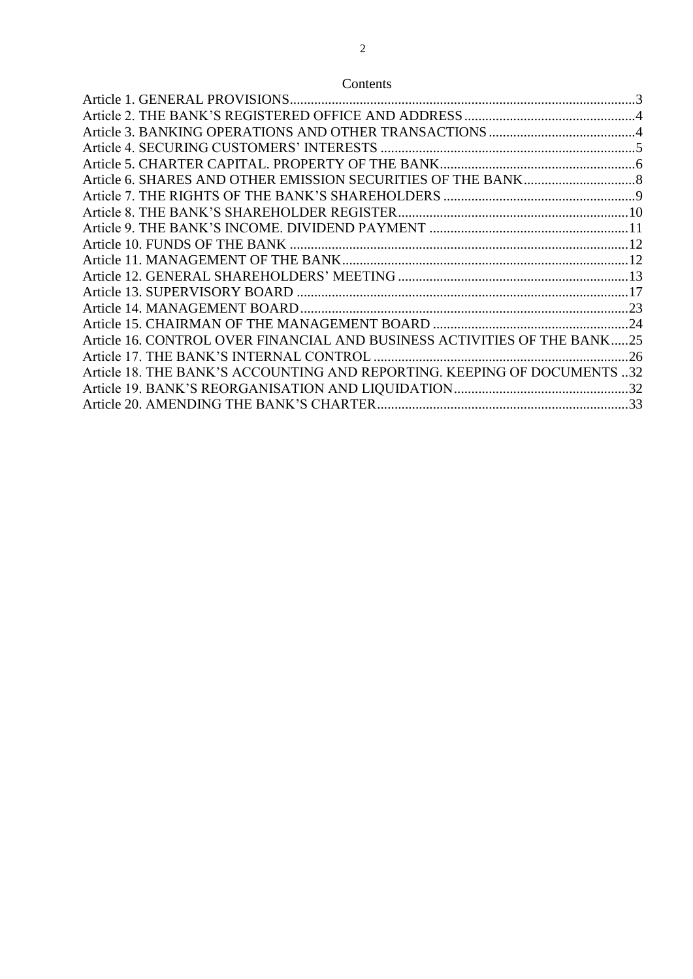## Contents

| Article 16. CONTROL OVER FINANCIAL AND BUSINESS ACTIVITIES OF THE BANK25 |  |
|--------------------------------------------------------------------------|--|
|                                                                          |  |
| Article 18. THE BANK'S ACCOUNTING AND REPORTING. KEEPING OF DOCUMENTS 32 |  |
|                                                                          |  |
|                                                                          |  |
|                                                                          |  |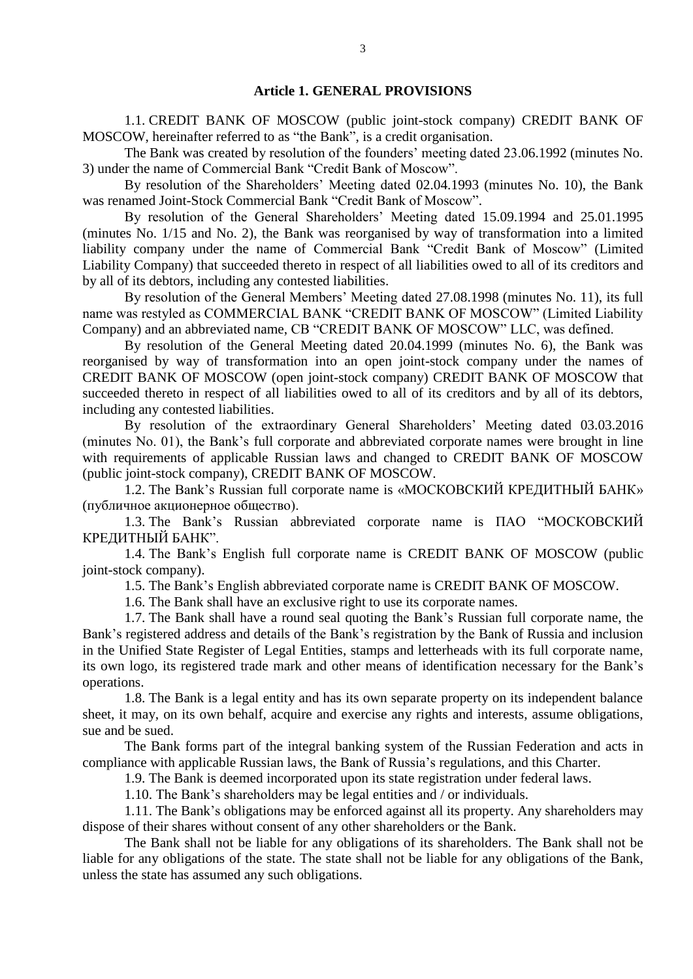#### **Article 1. GENERAL PROVISIONS**

1.1. CREDIT BANK OF MOSCOW (public joint-stock company) CREDIT BANK OF MOSCOW, hereinafter referred to as "the Bank", is a credit organisation.

The Bank was created by resolution of the founders' meeting dated 23.06.1992 (minutes No. 3) under the name of Commercial Bank "Credit Bank of Moscow".

By resolution of the Shareholders' Meeting dated 02.04.1993 (minutes No. 10), the Bank was renamed Joint-Stock Commercial Bank "Credit Bank of Moscow".

By resolution of the General Shareholders' Meeting dated 15.09.1994 and 25.01.1995 (minutes No. 1/15 and No. 2), the Bank was reorganised by way of transformation into a limited liability company under the name of Commercial Bank "Credit Bank of Moscow" (Limited Liability Company) that succeeded thereto in respect of all liabilities owed to all of its creditors and by all of its debtors, including any contested liabilities.

By resolution of the General Members' Meeting dated 27.08.1998 (minutes No. 11), its full name was restyled as COMMERCIAL BANK "CREDIT BANK OF MOSCOW" (Limited Liability Company) and an abbreviated name, CB "CREDIT BANK OF MOSCOW" LLC, was defined.

By resolution of the General Meeting dated 20.04.1999 (minutes No. 6), the Bank was reorganised by way of transformation into an open joint-stock company under the names of CREDIT BANK OF MOSCOW (open joint-stock company) CREDIT BANK OF MOSCOW that succeeded thereto in respect of all liabilities owed to all of its creditors and by all of its debtors, including any contested liabilities.

By resolution of the extraordinary General Shareholders' Meeting dated 03.03.2016 (minutes No. 01), the Bank's full corporate and abbreviated corporate names were brought in line with requirements of applicable Russian laws and changed to CREDIT BANK OF MOSCOW (public joint-stock company), CREDIT BANK OF MOSCOW.

1.2. The Bank's Russian full corporate name is «МОСКОВСКИЙ КРЕДИТНЫЙ БАНК» (публичное акционерное общество).

1.3. The Bank's Russian abbreviated corporate name is ПАО "МОСКОВСКИЙ КРЕДИТНЫЙ БАНК".

1.4. The Bank's English full corporate name is CREDIT BANK OF MOSCOW (public joint-stock company).

1.5. The Bank's English abbreviated corporate name is CREDIT BANK OF MOSCOW.

1.6. The Bank shall have an exclusive right to use its corporate names.

1.7. The Bank shall have a round seal quoting the Bank's Russian full corporate name, the Bank's registered address and details of the Bank's registration by the Bank of Russia and inclusion in the Unified State Register of Legal Entities, stamps and letterheads with its full corporate name, its own logo, its registered trade mark and other means of identification necessary for the Bank's operations.

1.8. The Bank is a legal entity and has its own separate property on its independent balance sheet, it may, on its own behalf, acquire and exercise any rights and interests, assume obligations, sue and be sued.

The Bank forms part of the integral banking system of the Russian Federation and acts in compliance with applicable Russian laws, the Bank of Russia's regulations, and this Charter.

1.9. The Bank is deemed incorporated upon its state registration under federal laws.

1.10. The Bank's shareholders may be legal entities and / or individuals.

1.11. The Bank's obligations may be enforced against all its property. Any shareholders may dispose of their shares without consent of any other shareholders or the Bank.

The Bank shall not be liable for any obligations of its shareholders. The Bank shall not be liable for any obligations of the state. The state shall not be liable for any obligations of the Bank, unless the state has assumed any such obligations.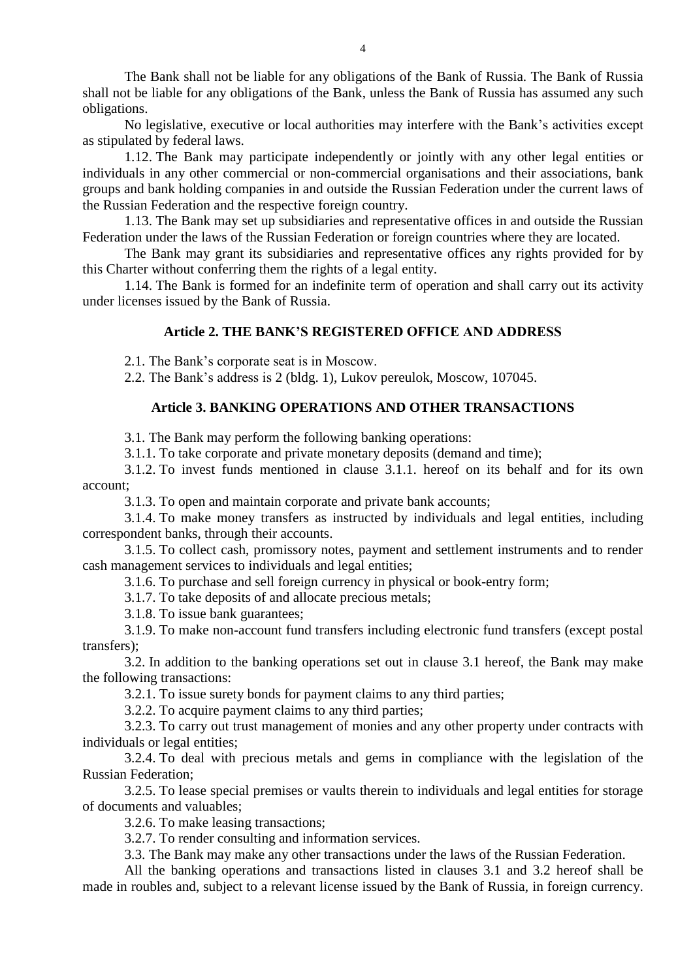The Bank shall not be liable for any obligations of the Bank of Russia. The Bank of Russia shall not be liable for any obligations of the Bank, unless the Bank of Russia has assumed any such obligations.

No legislative, executive or local authorities may interfere with the Bank's activities except as stipulated by federal laws.

1.12. The Bank may participate independently or jointly with any other legal entities or individuals in any other commercial or non-commercial organisations and their associations, bank groups and bank holding companies in and outside the Russian Federation under the current laws of the Russian Federation and the respective foreign country.

1.13. The Bank may set up subsidiaries and representative offices in and outside the Russian Federation under the laws of the Russian Federation or foreign countries where they are located.

The Bank may grant its subsidiaries and representative offices any rights provided for by this Charter without conferring them the rights of a legal entity.

1.14. The Bank is formed for an indefinite term of operation and shall carry out its activity under licenses issued by the Bank of Russia.

## **Article 2. THE BANK'S REGISTERED OFFICE AND ADDRESS**

2.1. The Bank's corporate seat is in Moscow.

2.2. The Bank's address is 2 (bldg. 1), Lukov pereulok, Moscow, 107045.

## **Article 3. BANKING OPERATIONS AND OTHER TRANSACTIONS**

3.1. The Bank may perform the following banking operations:

3.1.1. To take corporate and private monetary deposits (demand and time);

3.1.2. To invest funds mentioned in clause 3.1.1. hereof on its behalf and for its own account;

3.1.3. To open and maintain corporate and private bank accounts;

3.1.4. To make money transfers as instructed by individuals and legal entities, including correspondent banks, through their accounts.

3.1.5. To collect cash, promissory notes, payment and settlement instruments and to render cash management services to individuals and legal entities;

3.1.6. To purchase and sell foreign currency in physical or book-entry form;

3.1.7. To take deposits of and allocate precious metals;

3.1.8. To issue bank guarantees;

3.1.9. To make non-account fund transfers including electronic fund transfers (except postal transfers);

3.2. In addition to the banking operations set out in clause 3.1 hereof, the Bank may make the following transactions:

3.2.1. To issue surety bonds for payment claims to any third parties;

3.2.2. To acquire payment claims to any third parties;

3.2.3. To carry out trust management of monies and any other property under contracts with individuals or legal entities;

3.2.4. To deal with precious metals and gems in compliance with the legislation of the Russian Federation;

3.2.5. To lease special premises or vaults therein to individuals and legal entities for storage of documents and valuables;

3.2.6. To make leasing transactions;

3.2.7. To render consulting and information services.

3.3. The Bank may make any other transactions under the laws of the Russian Federation.

All the banking operations and transactions listed in clauses 3.1 and 3.2 hereof shall be made in roubles and, subject to a relevant license issued by the Bank of Russia, in foreign currency.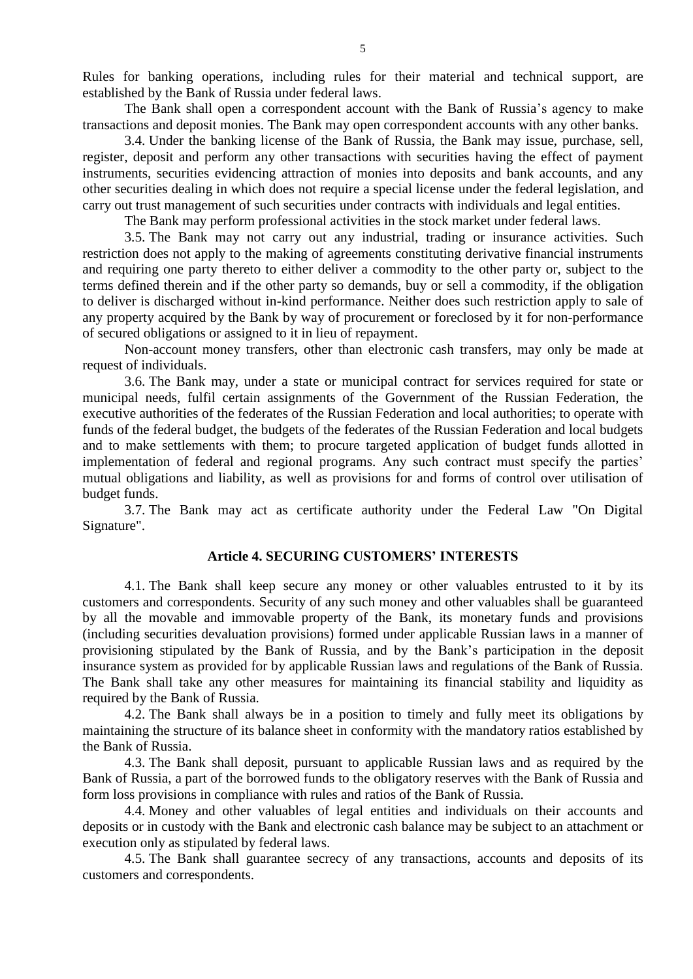Rules for banking operations, including rules for their material and technical support, are established by the Bank of Russia under federal laws.

The Bank shall open a correspondent account with the Bank of Russia's agency to make transactions and deposit monies. The Bank may open correspondent accounts with any other banks.

3.4. Under the banking license of the Bank of Russia, the Bank may issue, purchase, sell, register, deposit and perform any other transactions with securities having the effect of payment instruments, securities evidencing attraction of monies into deposits and bank accounts, and any other securities dealing in which does not require a special license under the federal legislation, and carry out trust management of such securities under contracts with individuals and legal entities.

The Bank may perform professional activities in the stock market under federal laws.

3.5. The Bank may not carry out any industrial, trading or insurance activities. Such restriction does not apply to the making of agreements constituting derivative financial instruments and requiring one party thereto to either deliver a commodity to the other party or, subject to the terms defined therein and if the other party so demands, buy or sell a commodity, if the obligation to deliver is discharged without in-kind performance. Neither does such restriction apply to sale of any property acquired by the Bank by way of procurement or foreclosed by it for non-performance of secured obligations or assigned to it in lieu of repayment.

Non-account money transfers, other than electronic cash transfers, may only be made at request of individuals.

3.6. The Bank may, under a state or municipal contract for services required for state or municipal needs, fulfil certain assignments of the Government of the Russian Federation, the executive authorities of the federates of the Russian Federation and local authorities; to operate with funds of the federal budget, the budgets of the federates of the Russian Federation and local budgets and to make settlements with them; to procure targeted application of budget funds allotted in implementation of federal and regional programs. Any such contract must specify the parties' mutual obligations and liability, as well as provisions for and forms of control over utilisation of budget funds.

3.7. The Bank may act as certificate authority under the Federal Law "On Digital Signature".

## **Article 4. SECURING CUSTOMERS' INTERESTS**

4.1. The Bank shall keep secure any money or other valuables entrusted to it by its customers and correspondents. Security of any such money and other valuables shall be guaranteed by all the movable and immovable property of the Bank, its monetary funds and provisions (including securities devaluation provisions) formed under applicable Russian laws in a manner of provisioning stipulated by the Bank of Russia, and by the Bank's participation in the deposit insurance system as provided for by applicable Russian laws and regulations of the Bank of Russia. The Bank shall take any other measures for maintaining its financial stability and liquidity as required by the Bank of Russia.

4.2. The Bank shall always be in a position to timely and fully meet its obligations by maintaining the structure of its balance sheet in conformity with the mandatory ratios established by the Bank of Russia.

4.3. The Bank shall deposit, pursuant to applicable Russian laws and as required by the Bank of Russia, a part of the borrowed funds to the obligatory reserves with the Bank of Russia and form loss provisions in compliance with rules and ratios of the Bank of Russia.

4.4. Money and other valuables of legal entities and individuals on their accounts and deposits or in custody with the Bank and electronic cash balance may be subject to an attachment or execution only as stipulated by federal laws.

4.5. The Bank shall guarantee secrecy of any transactions, accounts and deposits of its customers and correspondents.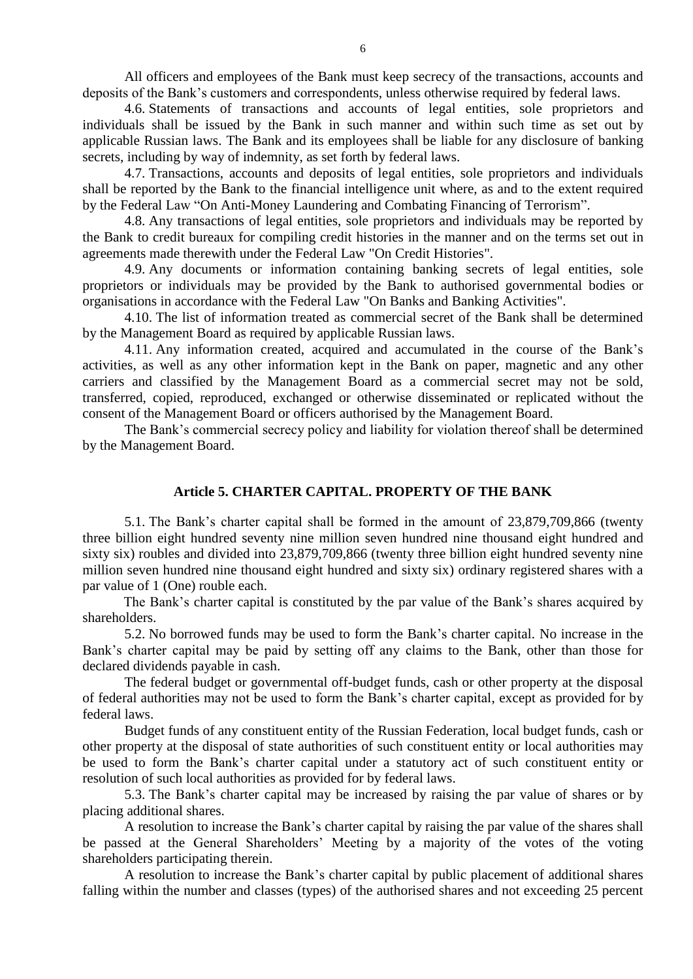All officers and employees of the Bank must keep secrecy of the transactions, accounts and deposits of the Bank's customers and correspondents, unless otherwise required by federal laws.

4.6. Statements of transactions and accounts of legal entities, sole proprietors and individuals shall be issued by the Bank in such manner and within such time as set out by applicable Russian laws. The Bank and its employees shall be liable for any disclosure of banking secrets, including by way of indemnity, as set forth by federal laws.

4.7. Transactions, accounts and deposits of legal entities, sole proprietors and individuals shall be reported by the Bank to the financial intelligence unit where, as and to the extent required by the Federal Law "On Anti-Money Laundering and Combating Financing of Terrorism".

4.8. Any transactions of legal entities, sole proprietors and individuals may be reported by the Bank to credit bureaux for compiling credit histories in the manner and on the terms set out in agreements made therewith under the Federal Law "On Credit Histories".

4.9. Any documents or information containing banking secrets of legal entities, sole proprietors or individuals may be provided by the Bank to authorised governmental bodies or organisations in accordance with the Federal Law "On Banks and Banking Activities".

4.10. The list of information treated as commercial secret of the Bank shall be determined by the Management Board as required by applicable Russian laws.

4.11. Any information created, acquired and accumulated in the course of the Bank's activities, as well as any other information kept in the Bank on paper, magnetic and any other carriers and classified by the Management Board as a commercial secret may not be sold, transferred, copied, reproduced, exchanged or otherwise disseminated or replicated without the consent of the Management Board or officers authorised by the Management Board.

The Bank's commercial secrecy policy and liability for violation thereof shall be determined by the Management Board.

## **Article 5. CHARTER CAPITAL. PROPERTY OF THE BANK**

5.1. The Bank's charter capital shall be formed in the amount of 23,879,709,866 (twenty three billion eight hundred seventy nine million seven hundred nine thousand eight hundred and sixty six) roubles and divided into 23,879,709,866 (twenty three billion eight hundred seventy nine million seven hundred nine thousand eight hundred and sixty six) ordinary registered shares with a par value of 1 (One) rouble each.

The Bank's charter capital is constituted by the par value of the Bank's shares acquired by shareholders.

5.2. No borrowed funds may be used to form the Bank's charter capital. No increase in the Bank's charter capital may be paid by setting off any claims to the Bank, other than those for declared dividends payable in cash.

The federal budget or governmental off-budget funds, cash or other property at the disposal of federal authorities may not be used to form the Bank's charter capital, except as provided for by federal laws.

Budget funds of any constituent entity of the Russian Federation, local budget funds, cash or other property at the disposal of state authorities of such constituent entity or local authorities may be used to form the Bank's charter capital under a statutory act of such constituent entity or resolution of such local authorities as provided for by federal laws.

5.3. The Bank's charter capital may be increased by raising the par value of shares or by placing additional shares.

A resolution to increase the Bank's charter capital by raising the par value of the shares shall be passed at the General Shareholders' Meeting by a majority of the votes of the voting shareholders participating therein.

A resolution to increase the Bank's charter capital by public placement of additional shares falling within the number and classes (types) of the authorised shares and not exceeding 25 percent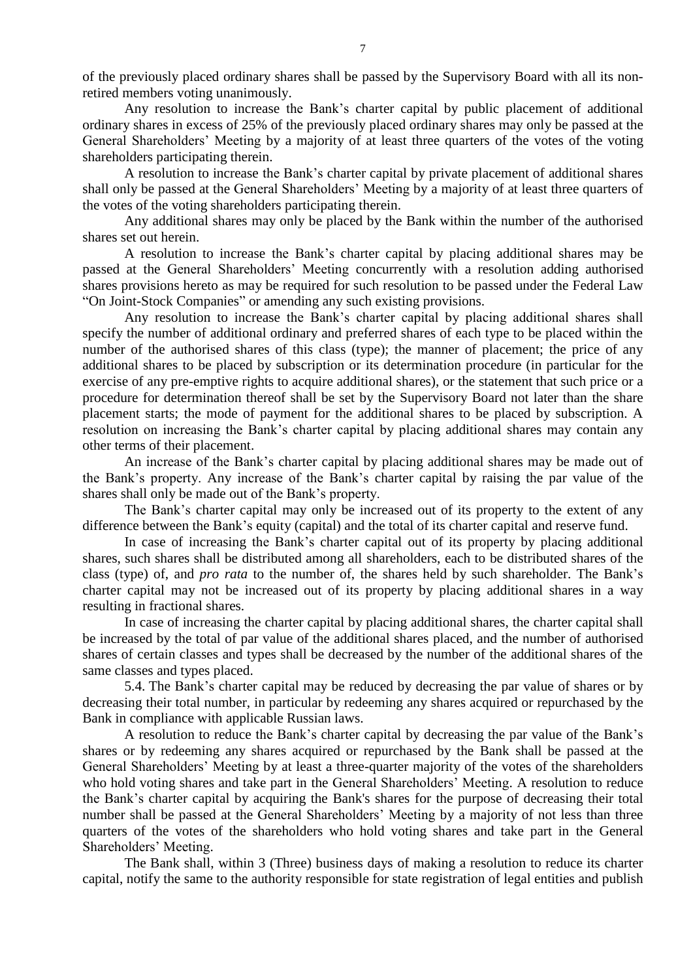of the previously placed ordinary shares shall be passed by the Supervisory Board with all its nonretired members voting unanimously.

Any resolution to increase the Bank's charter capital by public placement of additional ordinary shares in excess of 25% of the previously placed ordinary shares may only be passed at the General Shareholders' Meeting by a majority of at least three quarters of the votes of the voting shareholders participating therein.

A resolution to increase the Bank's charter capital by private placement of additional shares shall only be passed at the General Shareholders' Meeting by a majority of at least three quarters of the votes of the voting shareholders participating therein.

Any additional shares may only be placed by the Bank within the number of the authorised shares set out herein.

A resolution to increase the Bank's charter capital by placing additional shares may be passed at the General Shareholders' Meeting concurrently with a resolution adding authorised shares provisions hereto as may be required for such resolution to be passed under the Federal Law "On Joint-Stock Companies" or amending any such existing provisions.

Any resolution to increase the Bank's charter capital by placing additional shares shall specify the number of additional ordinary and preferred shares of each type to be placed within the number of the authorised shares of this class (type); the manner of placement; the price of any additional shares to be placed by subscription or its determination procedure (in particular for the exercise of any pre-emptive rights to acquire additional shares), or the statement that such price or a procedure for determination thereof shall be set by the Supervisory Board not later than the share placement starts; the mode of payment for the additional shares to be placed by subscription. A resolution on increasing the Bank's charter capital by placing additional shares may contain any other terms of their placement.

An increase of the Bank's charter capital by placing additional shares may be made out of the Bank's property. Any increase of the Bank's charter capital by raising the par value of the shares shall only be made out of the Bank's property.

The Bank's charter capital may only be increased out of its property to the extent of any difference between the Bank's equity (capital) and the total of its charter capital and reserve fund.

In case of increasing the Bank's charter capital out of its property by placing additional shares, such shares shall be distributed among all shareholders, each to be distributed shares of the class (type) of, and *pro rata* to the number of, the shares held by such shareholder. The Bank's charter capital may not be increased out of its property by placing additional shares in a way resulting in fractional shares.

In case of increasing the charter capital by placing additional shares, the charter capital shall be increased by the total of par value of the additional shares placed, and the number of authorised shares of certain classes and types shall be decreased by the number of the additional shares of the same classes and types placed.

5.4. The Bank's charter capital may be reduced by decreasing the par value of shares or by decreasing their total number, in particular by redeeming any shares acquired or repurchased by the Bank in compliance with applicable Russian laws.

A resolution to reduce the Bank's charter capital by decreasing the par value of the Bank's shares or by redeeming any shares acquired or repurchased by the Bank shall be passed at the General Shareholders' Meeting by at least a three-quarter majority of the votes of the shareholders who hold voting shares and take part in the General Shareholders' Meeting. A resolution to reduce the Bank's charter capital by acquiring the Bank's shares for the purpose of decreasing their total number shall be passed at the General Shareholders' Meeting by a majority of not less than three quarters of the votes of the shareholders who hold voting shares and take part in the General Shareholders' Meeting.

The Bank shall, within 3 (Three) business days of making a resolution to reduce its charter capital, notify the same to the authority responsible for state registration of legal entities and publish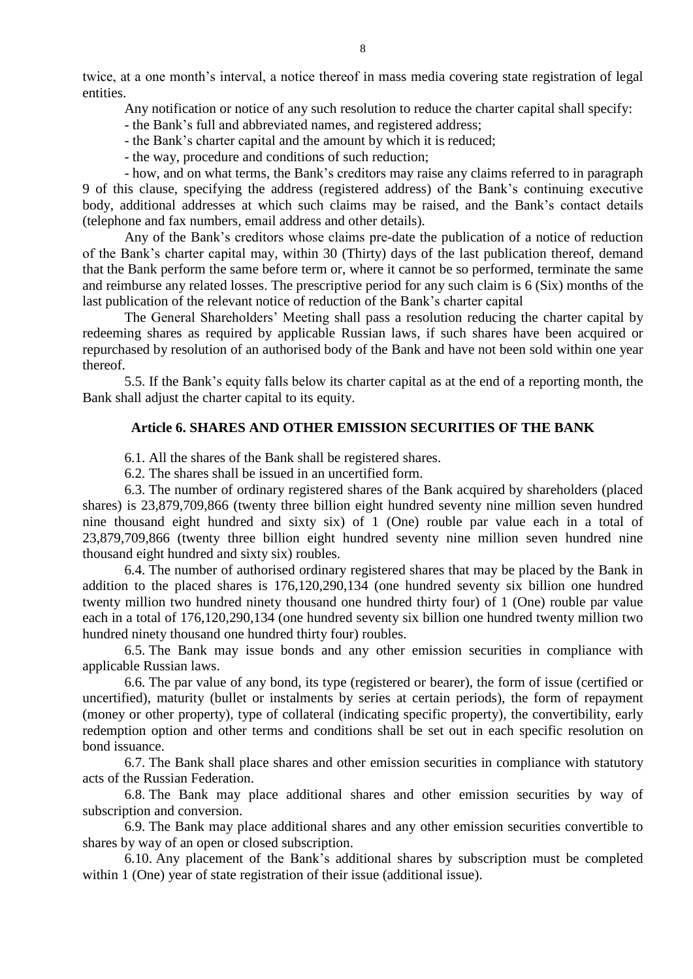twice, at a one month's interval, a notice thereof in mass media covering state registration of legal entities.

Any notification or notice of any such resolution to reduce the charter capital shall specify:

- the Bank's full and abbreviated names, and registered address;
- the Bank's charter capital and the amount by which it is reduced;
- the way, procedure and conditions of such reduction;

- how, and on what terms, the Bank's creditors may raise any claims referred to in paragraph 9 of this clause, specifying the address (registered address) of the Bank's continuing executive body, additional addresses at which such claims may be raised, and the Bank's contact details (telephone and fax numbers, email address and other details).

Any of the Bank's creditors whose claims pre-date the publication of a notice of reduction of the Bank's charter capital may, within 30 (Thirty) days of the last publication thereof, demand that the Bank perform the same before term or, where it cannot be so performed, terminate the same and reimburse any related losses. The prescriptive period for any such claim is 6 (Six) months of the last publication of the relevant notice of reduction of the Bank's charter capital

The General Shareholders' Meeting shall pass a resolution reducing the charter capital by redeeming shares as required by applicable Russian laws, if such shares have been acquired or repurchased by resolution of an authorised body of the Bank and have not been sold within one year thereof.

5.5. If the Bank's equity falls below its charter capital as at the end of a reporting month, the Bank shall adjust the charter capital to its equity.

## **Article 6. SHARES AND OTHER EMISSION SECURITIES OF THE BANK**

6.1. All the shares of the Bank shall be registered shares.

6.2. The shares shall be issued in an uncertified form.

6.3. The number of ordinary registered shares of the Bank acquired by shareholders (placed shares) is 23,879,709,866 (twenty three billion eight hundred seventy nine million seven hundred nine thousand eight hundred and sixty six) of 1 (One) rouble par value each in a total of 23,879,709,866 (twenty three billion eight hundred seventy nine million seven hundred nine thousand eight hundred and sixty six) roubles.

6.4. The number of authorised ordinary registered shares that may be placed by the Bank in addition to the placed shares is 176,120,290,134 (one hundred seventy six billion one hundred twenty million two hundred ninety thousand one hundred thirty four) of 1 (One) rouble par value each in a total of 176,120,290,134 (one hundred seventy six billion one hundred twenty million two hundred ninety thousand one hundred thirty four) roubles.

6.5. The Bank may issue bonds and any other emission securities in compliance with applicable Russian laws.

6.6. The par value of any bond, its type (registered or bearer), the form of issue (certified or uncertified), maturity (bullet or instalments by series at certain periods), the form of repayment (money or other property), type of collateral (indicating specific property), the convertibility, early redemption option and other terms and conditions shall be set out in each specific resolution on bond issuance.

6.7. The Bank shall place shares and other emission securities in compliance with statutory acts of the Russian Federation.

6.8. The Bank may place additional shares and other emission securities by way of subscription and conversion.

6.9. The Bank may place additional shares and any other emission securities convertible to shares by way of an open or closed subscription.

6.10. Any placement of the Bank's additional shares by subscription must be completed within 1 (One) year of state registration of their issue (additional issue).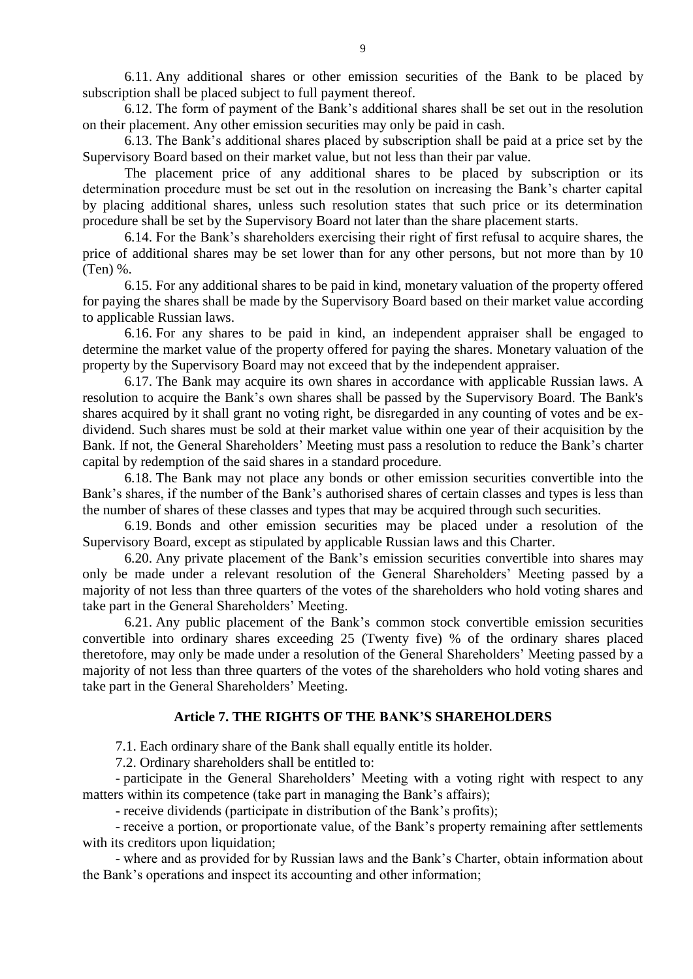6.11. Any additional shares or other emission securities of the Bank to be placed by subscription shall be placed subject to full payment thereof.

6.12. The form of payment of the Bank's additional shares shall be set out in the resolution on their placement. Any other emission securities may only be paid in cash.

6.13. The Bank's additional shares placed by subscription shall be paid at a price set by the Supervisory Board based on their market value, but not less than their par value.

The placement price of any additional shares to be placed by subscription or its determination procedure must be set out in the resolution on increasing the Bank's charter capital by placing additional shares, unless such resolution states that such price or its determination procedure shall be set by the Supervisory Board not later than the share placement starts.

6.14. For the Bank's shareholders exercising their right of first refusal to acquire shares, the price of additional shares may be set lower than for any other persons, but not more than by 10 (Ten) %.

6.15. For any additional shares to be paid in kind, monetary valuation of the property offered for paying the shares shall be made by the Supervisory Board based on their market value according to applicable Russian laws.

6.16. For any shares to be paid in kind, an independent appraiser shall be engaged to determine the market value of the property offered for paying the shares. Monetary valuation of the property by the Supervisory Board may not exceed that by the independent appraiser.

6.17. The Bank may acquire its own shares in accordance with applicable Russian laws. A resolution to acquire the Bank's own shares shall be passed by the Supervisory Board. The Bank's shares acquired by it shall grant no voting right, be disregarded in any counting of votes and be exdividend. Such shares must be sold at their market value within one year of their acquisition by the Bank. If not, the General Shareholders' Meeting must pass a resolution to reduce the Bank's charter capital by redemption of the said shares in a standard procedure.

6.18. The Bank may not place any bonds or other emission securities convertible into the Bank's shares, if the number of the Bank's authorised shares of certain classes and types is less than the number of shares of these classes and types that may be acquired through such securities.

6.19. Bonds and other emission securities may be placed under a resolution of the Supervisory Board, except as stipulated by applicable Russian laws and this Charter.

6.20. Any private placement of the Bank's emission securities convertible into shares may only be made under a relevant resolution of the General Shareholders' Meeting passed by a majority of not less than three quarters of the votes of the shareholders who hold voting shares and take part in the General Shareholders' Meeting.

6.21. Any public placement of the Bank's common stock convertible emission securities convertible into ordinary shares exceeding 25 (Twenty five) % of the ordinary shares placed theretofore, may only be made under a resolution of the General Shareholders' Meeting passed by a majority of not less than three quarters of the votes of the shareholders who hold voting shares and take part in the General Shareholders' Meeting.

### **Article 7. THE RIGHTS OF THE BANK'S SHAREHOLDERS**

7.1. Each ordinary share of the Bank shall equally entitle its holder.

7.2. Ordinary shareholders shall be entitled to:

- participate in the General Shareholders' Meeting with a voting right with respect to any matters within its competence (take part in managing the Bank's affairs);

- receive dividends (participate in distribution of the Bank's profits);

- receive a portion, or proportionate value, of the Bank's property remaining after settlements with its creditors upon liquidation;

- where and as provided for by Russian laws and the Bank's Charter, obtain information about the Bank's operations and inspect its accounting and other information;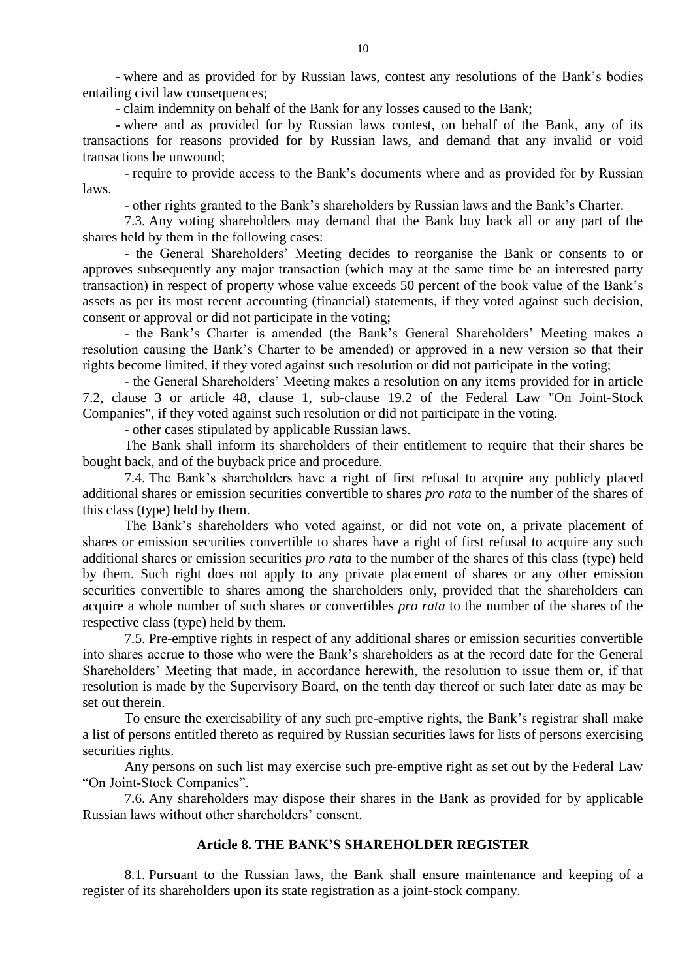- where and as provided for by Russian laws, contest any resolutions of the Bank's bodies entailing civil law consequences;

- claim indemnity on behalf of the Bank for any losses caused to the Bank;

- where and as provided for by Russian laws contest, on behalf of the Bank, any of its transactions for reasons provided for by Russian laws, and demand that any invalid or void transactions be unwound;

- require to provide access to the Bank's documents where and as provided for by Russian laws.

- other rights granted to the Bank's shareholders by Russian laws and the Bank's Charter.

7.3. Any voting shareholders may demand that the Bank buy back all or any part of the shares held by them in the following cases:

- the General Shareholders' Meeting decides to reorganise the Bank or consents to or approves subsequently any major transaction (which may at the same time be an interested party transaction) in respect of property whose value exceeds 50 percent of the book value of the Bank's assets as per its most recent accounting (financial) statements, if they voted against such decision, consent or approval or did not participate in the voting;

- the Bank's Charter is amended (the Bank's General Shareholders' Meeting makes a resolution causing the Bank's Charter to be amended) or approved in a new version so that their rights become limited, if they voted against such resolution or did not participate in the voting;

- the General Shareholders' Meeting makes a resolution on any items provided for in article 7.2, clause 3 or article 48, clause 1, sub-clause 19.2 of the Federal Law "On Joint-Stock Companies", if they voted against such resolution or did not participate in the voting.

- other cases stipulated by applicable Russian laws.

The Bank shall inform its shareholders of their entitlement to require that their shares be bought back, and of the buyback price and procedure.

7.4. The Bank's shareholders have a right of first refusal to acquire any publicly placed additional shares or emission securities convertible to shares *pro rata* to the number of the shares of this class (type) held by them.

The Bank's shareholders who voted against, or did not vote on, a private placement of shares or emission securities convertible to shares have a right of first refusal to acquire any such additional shares or emission securities *pro rata* to the number of the shares of this class (type) held by them. Such right does not apply to any private placement of shares or any other emission securities convertible to shares among the shareholders only, provided that the shareholders can acquire a whole number of such shares or convertibles *pro rata* to the number of the shares of the respective class (type) held by them.

7.5. Pre-emptive rights in respect of any additional shares or emission securities convertible into shares accrue to those who were the Bank's shareholders as at the record date for the General Shareholders' Meeting that made, in accordance herewith, the resolution to issue them or, if that resolution is made by the Supervisory Board, on the tenth day thereof or such later date as may be set out therein.

To ensure the exercisability of any such pre-emptive rights, the Bank's registrar shall make a list of persons entitled thereto as required by Russian securities laws for lists of persons exercising securities rights.

Any persons on such list may exercise such pre-emptive right as set out by the Federal Law "On Joint-Stock Companies".

7.6. Any shareholders may dispose their shares in the Bank as provided for by applicable Russian laws without other shareholders' consent.

### **Article 8. THE BANK'S SHAREHOLDER REGISTER**

8.1. Pursuant to the Russian laws, the Bank shall ensure maintenance and keeping of a register of its shareholders upon its state registration as a joint-stock company.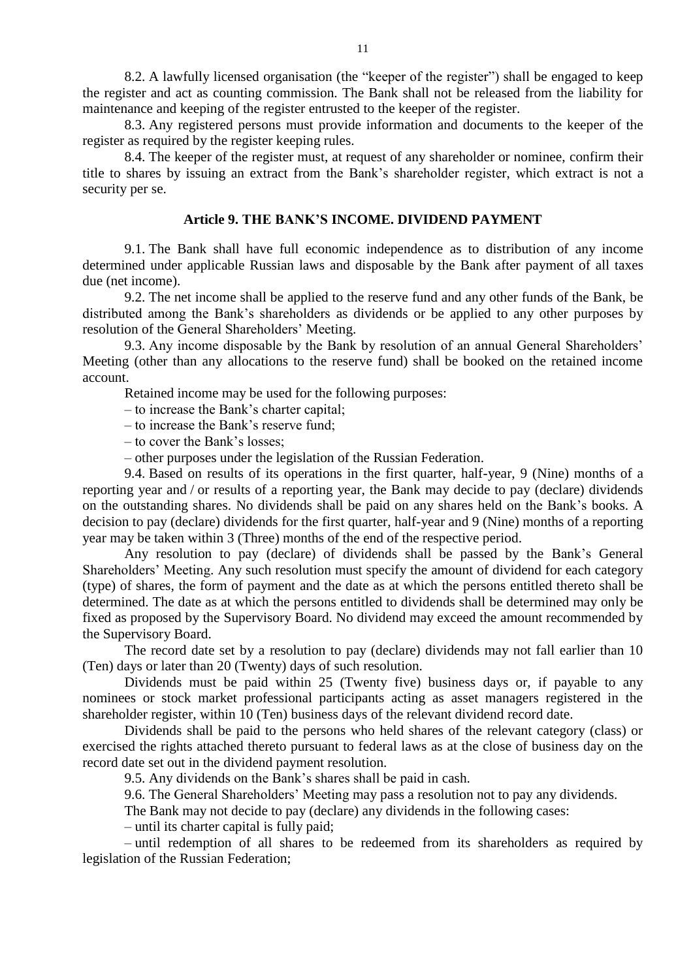8.2. A lawfully licensed organisation (the "keeper of the register") shall be engaged to keep the register and act as counting commission. The Bank shall not be released from the liability for maintenance and keeping of the register entrusted to the keeper of the register.

8.3. Any registered persons must provide information and documents to the keeper of the register as required by the register keeping rules.

8.4. The keeper of the register must, at request of any shareholder or nominee, confirm their title to shares by issuing an extract from the Bank's shareholder register, which extract is not a security per se.

#### **Article 9. THE BANK'S INCOME. DIVIDEND PAYMENT**

9.1. The Bank shall have full economic independence as to distribution of any income determined under applicable Russian laws and disposable by the Bank after payment of all taxes due (net income).

9.2. The net income shall be applied to the reserve fund and any other funds of the Bank, be distributed among the Bank's shareholders as dividends or be applied to any other purposes by resolution of the General Shareholders' Meeting.

9.3. Any income disposable by the Bank by resolution of an annual General Shareholders' Meeting (other than any allocations to the reserve fund) shall be booked on the retained income account.

Retained income may be used for the following purposes:

– to increase the Bank's charter capital;

– to increase the Bank's reserve fund;

– to cover the Bank's losses;

– other purposes under the legislation of the Russian Federation.

9.4. Based on results of its operations in the first quarter, half-year, 9 (Nine) months of a reporting year and / or results of a reporting year, the Bank may decide to pay (declare) dividends on the outstanding shares. No dividends shall be paid on any shares held on the Bank's books. A decision to pay (declare) dividends for the first quarter, half-year and 9 (Nine) months of a reporting year may be taken within 3 (Three) months of the end of the respective period.

Any resolution to pay (declare) of dividends shall be passed by the Bank's General Shareholders' Meeting. Any such resolution must specify the amount of dividend for each category (type) of shares, the form of payment and the date as at which the persons entitled thereto shall be determined. The date as at which the persons entitled to dividends shall be determined may only be fixed as proposed by the Supervisory Board. No dividend may exceed the amount recommended by the Supervisory Board.

The record date set by a resolution to pay (declare) dividends may not fall earlier than 10 (Ten) days or later than 20 (Twenty) days of such resolution.

Dividends must be paid within 25 (Twenty five) business days or, if payable to any nominees or stock market professional participants acting as asset managers registered in the shareholder register, within 10 (Ten) business days of the relevant dividend record date.

Dividends shall be paid to the persons who held shares of the relevant category (class) or exercised the rights attached thereto pursuant to federal laws as at the close of business day on the record date set out in the dividend payment resolution.

9.5. Any dividends on the Bank's shares shall be paid in cash.

9.6. The General Shareholders' Meeting may pass a resolution not to pay any dividends.

The Bank may not decide to pay (declare) any dividends in the following cases:

– until its charter capital is fully paid;

– until redemption of all shares to be redeemed from its shareholders as required by legislation of the Russian Federation;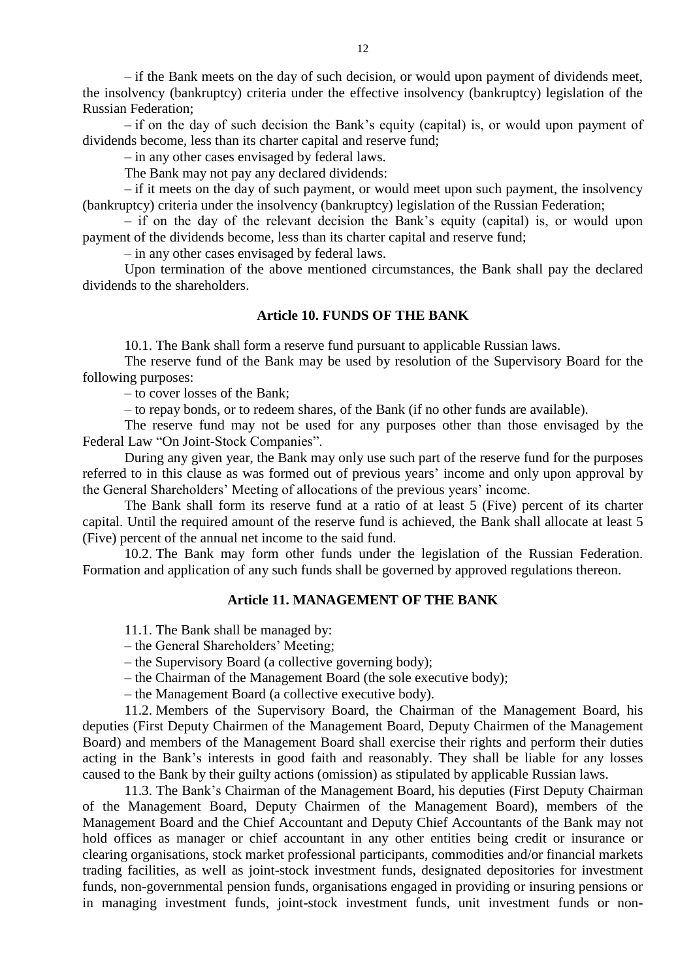– if the Bank meets on the day of such decision, or would upon payment of dividends meet, the insolvency (bankruptcy) criteria under the effective insolvency (bankruptcy) legislation of the Russian Federation;

– if on the day of such decision the Bank's equity (capital) is, or would upon payment of dividends become, less than its charter capital and reserve fund;

– in any other cases envisaged by federal laws.

The Bank may not pay any declared dividends:

– if it meets on the day of such payment, or would meet upon such payment, the insolvency (bankruptcy) criteria under the insolvency (bankruptcy) legislation of the Russian Federation;

– if on the day of the relevant decision the Bank's equity (capital) is, or would upon payment of the dividends become, less than its charter capital and reserve fund;

– in any other cases envisaged by federal laws.

Upon termination of the above mentioned circumstances, the Bank shall pay the declared dividends to the shareholders.

## **Article 10. FUNDS OF THE BANK**

10.1. The Bank shall form a reserve fund pursuant to applicable Russian laws.

The reserve fund of the Bank may be used by resolution of the Supervisory Board for the following purposes:

– to cover losses of the Bank;

– to repay bonds, or to redeem shares, of the Bank (if no other funds are available).

The reserve fund may not be used for any purposes other than those envisaged by the Federal Law "On Joint-Stock Companies".

During any given year, the Bank may only use such part of the reserve fund for the purposes referred to in this clause as was formed out of previous years' income and only upon approval by the General Shareholders' Meeting of allocations of the previous years' income.

The Bank shall form its reserve fund at a ratio of at least 5 (Five) percent of its charter capital. Until the required amount of the reserve fund is achieved, the Bank shall allocate at least 5 (Five) percent of the annual net income to the said fund.

10.2. The Bank may form other funds under the legislation of the Russian Federation. Formation and application of any such funds shall be governed by approved regulations thereon.

#### **Article 11. MANAGEMENT OF THE BANK**

11.1. The Bank shall be managed by:

– the General Shareholders' Meeting;

– the Supervisory Board (a collective governing body);

– the Chairman of the Management Board (the sole executive body);

– the Management Board (a collective executive body).

11.2. Members of the Supervisory Board, the Chairman of the Management Board, his deputies (First Deputy Chairmen of the Management Board, Deputy Chairmen of the Management Board) and members of the Management Board shall exercise their rights and perform their duties acting in the Bank's interests in good faith and reasonably. They shall be liable for any losses caused to the Bank by their guilty actions (omission) as stipulated by applicable Russian laws.

11.3. The Bank's Chairman of the Management Board, his deputies (First Deputy Chairman of the Management Board, Deputy Chairmen of the Management Board), members of the Management Board and the Chief Accountant and Deputy Chief Accountants of the Bank may not hold offices as manager or chief accountant in any other entities being credit or insurance or clearing organisations, stock market professional participants, commodities and/or financial markets trading facilities, as well as joint-stock investment funds, designated depositories for investment funds, non-governmental pension funds, organisations engaged in providing or insuring pensions or in managing investment funds, joint-stock investment funds, unit investment funds or non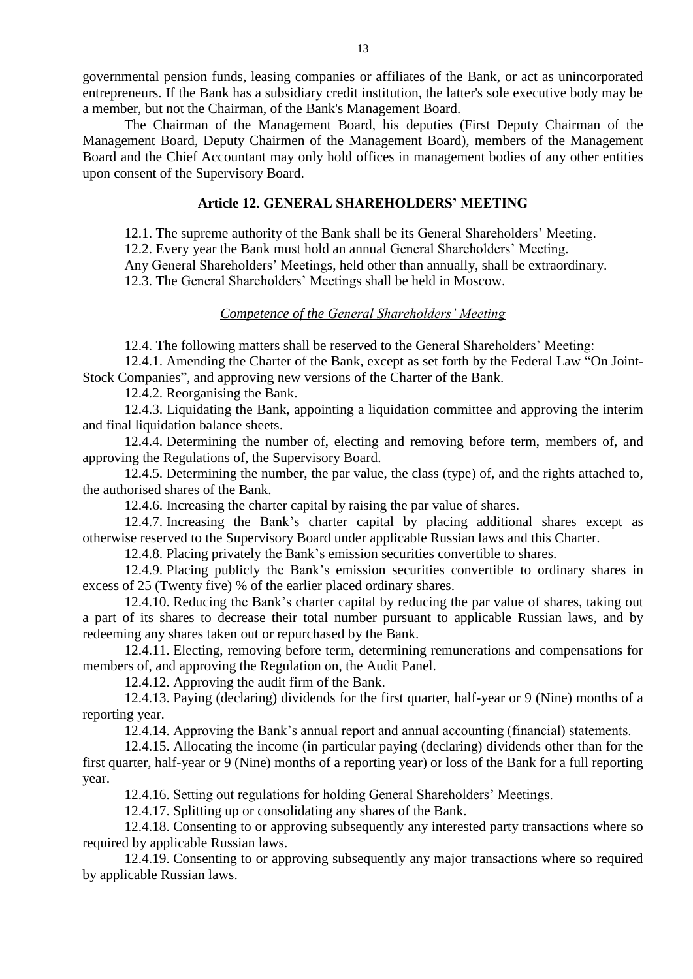governmental pension funds, leasing companies or affiliates of the Bank, or act as unincorporated entrepreneurs. If the Bank has a subsidiary credit institution, the latter's sole executive body may be a member, but not the Chairman, of the Bank's Management Board.

The Chairman of the Management Board, his deputies (First Deputy Chairman of the Management Board, Deputy Chairmen of the Management Board), members of the Management Board and the Chief Accountant may only hold offices in management bodies of any other entities upon consent of the Supervisory Board.

## **Article 12. GENERAL SHAREHOLDERS' MEETING**

12.1. The supreme authority of the Bank shall be its General Shareholders' Meeting.

12.2. Every year the Bank must hold an annual General Shareholders' Meeting.

Any General Shareholders' Meetings, held other than annually, shall be extraordinary.

12.3. The General Shareholders' Meetings shall be held in Moscow.

## *Competence of the General Shareholders' Meeting*

12.4. The following matters shall be reserved to the General Shareholders' Meeting:

12.4.1. Amending the Charter of the Bank, except as set forth by the Federal Law "On Joint-Stock Companies", and approving new versions of the Charter of the Bank.

12.4.2. Reorganising the Bank.

12.4.3. Liquidating the Bank, appointing a liquidation committee and approving the interim and final liquidation balance sheets.

12.4.4. Determining the number of, electing and removing before term, members of, and approving the Regulations of, the Supervisory Board.

12.4.5. Determining the number, the par value, the class (type) of, and the rights attached to, the authorised shares of the Bank.

12.4.6. Increasing the charter capital by raising the par value of shares.

12.4.7. Increasing the Bank's charter capital by placing additional shares except as otherwise reserved to the Supervisory Board under applicable Russian laws and this Charter.

12.4.8. Placing privately the Bank's emission securities convertible to shares.

12.4.9. Placing publicly the Bank's emission securities convertible to ordinary shares in excess of 25 (Twenty five) % of the earlier placed ordinary shares.

12.4.10. Reducing the Bank's charter capital by reducing the par value of shares, taking out a part of its shares to decrease their total number pursuant to applicable Russian laws, and by redeeming any shares taken out or repurchased by the Bank.

12.4.11. Electing, removing before term, determining remunerations and compensations for members of, and approving the Regulation on, the Audit Panel.

12.4.12. Approving the audit firm of the Bank.

12.4.13. Paying (declaring) dividends for the first quarter, half-year or 9 (Nine) months of a reporting year.

12.4.14. Approving the Bank's annual report and annual accounting (financial) statements.

12.4.15. Allocating the income (in particular paying (declaring) dividends other than for the first quarter, half-year or 9 (Nine) months of a reporting year) or loss of the Bank for a full reporting year.

12.4.16. Setting out regulations for holding General Shareholders' Meetings.

12.4.17. Splitting up or consolidating any shares of the Bank.

12.4.18. Consenting to or approving subsequently any interested party transactions where so required by applicable Russian laws.

12.4.19. Consenting to or approving subsequently any major transactions where so required by applicable Russian laws.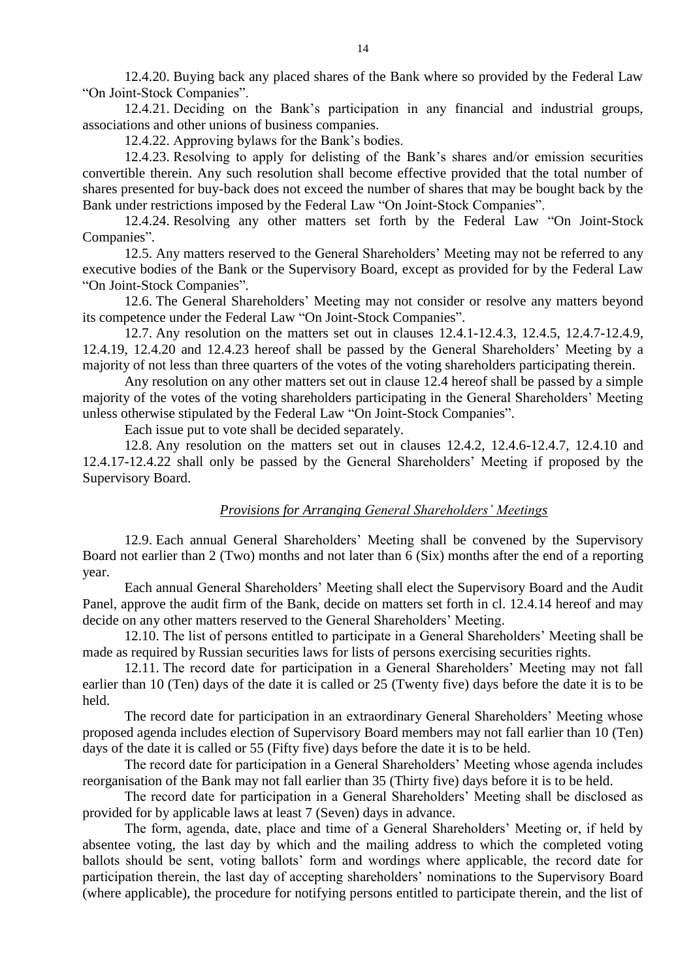12.4.20. Buying back any placed shares of the Bank where so provided by the Federal Law "On Joint-Stock Companies".

12.4.21. Deciding on the Bank's participation in any financial and industrial groups, associations and other unions of business companies.

12.4.22. Approving bylaws for the Bank's bodies.

12.4.23. Resolving to apply for delisting of the Bank's shares and/or emission securities convertible therein. Any such resolution shall become effective provided that the total number of shares presented for buy-back does not exceed the number of shares that may be bought back by the Bank under restrictions imposed by the Federal Law "On Joint-Stock Companies".

12.4.24. Resolving any other matters set forth by the Federal Law "On Joint-Stock Companies".

12.5. Any matters reserved to the General Shareholders' Meeting may not be referred to any executive bodies of the Bank or the Supervisory Board, except as provided for by the Federal Law "On Joint-Stock Companies".

12.6. The General Shareholders' Meeting may not consider or resolve any matters beyond its competence under the Federal Law "On Joint-Stock Companies".

12.7. Any resolution on the matters set out in clauses 12.4.1-12.4.3, 12.4.5, 12.4.7-12.4.9, 12.4.19, 12.4.20 and 12.4.23 hereof shall be passed by the General Shareholders' Meeting by a majority of not less than three quarters of the votes of the voting shareholders participating therein.

Any resolution on any other matters set out in clause 12.4 hereof shall be passed by a simple majority of the votes of the voting shareholders participating in the General Shareholders' Meeting unless otherwise stipulated by the Federal Law "On Joint-Stock Companies".

Each issue put to vote shall be decided separately.

12.8. Any resolution on the matters set out in clauses 12.4.2, 12.4.6-12.4.7, 12.4.10 and 12.4.17-12.4.22 shall only be passed by the General Shareholders' Meeting if proposed by the Supervisory Board.

#### *Provisions for Arranging General Shareholders' Meetings*

12.9. Each annual General Shareholders' Meeting shall be convened by the Supervisory Board not earlier than 2 (Two) months and not later than 6 (Six) months after the end of a reporting year.

Each annual General Shareholders' Meeting shall elect the Supervisory Board and the Audit Panel, approve the audit firm of the Bank, decide on matters set forth in cl. 12.4.14 hereof and may decide on any other matters reserved to the General Shareholders' Meeting.

12.10. The list of persons entitled to participate in a General Shareholders' Meeting shall be made as required by Russian securities laws for lists of persons exercising securities rights.

12.11. The record date for participation in a General Shareholders' Meeting may not fall earlier than 10 (Ten) days of the date it is called or 25 (Twenty five) days before the date it is to be held.

The record date for participation in an extraordinary General Shareholders' Meeting whose proposed agenda includes election of Supervisory Board members may not fall earlier than 10 (Ten) days of the date it is called or 55 (Fifty five) days before the date it is to be held.

The record date for participation in a General Shareholders' Meeting whose agenda includes reorganisation of the Bank may not fall earlier than 35 (Thirty five) days before it is to be held.

The record date for participation in a General Shareholders' Meeting shall be disclosed as provided for by applicable laws at least 7 (Seven) days in advance.

The form, agenda, date, place and time of a General Shareholders' Meeting or, if held by absentee voting, the last day by which and the mailing address to which the completed voting ballots should be sent, voting ballots' form and wordings where applicable, the record date for participation therein, the last day of accepting shareholders' nominations to the Supervisory Board (where applicable), the procedure for notifying persons entitled to participate therein, and the list of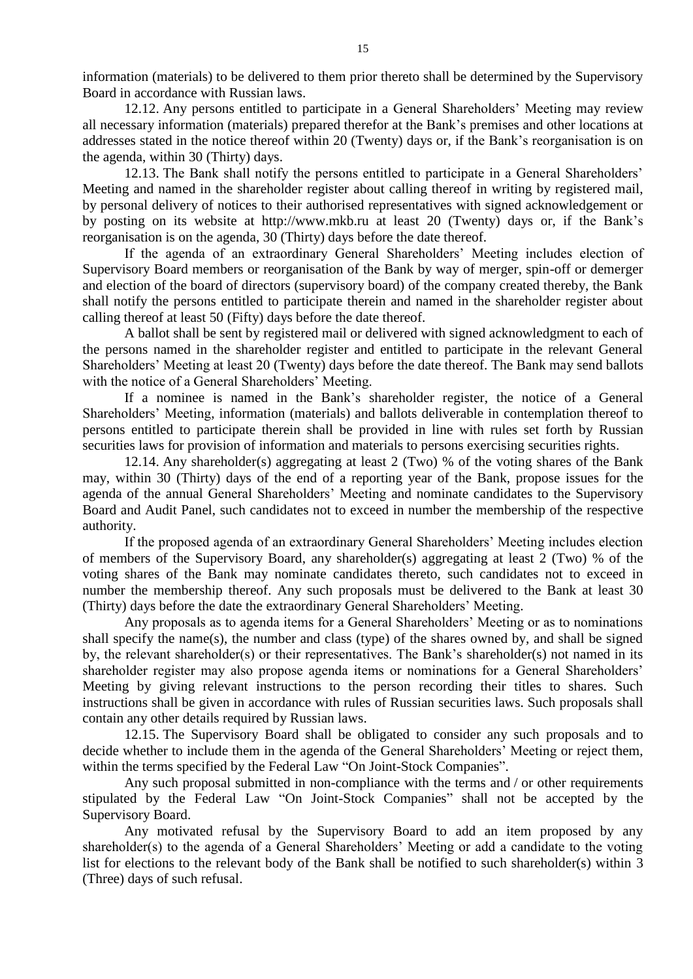information (materials) to be delivered to them prior thereto shall be determined by the Supervisory Board in accordance with Russian laws.

12.12. Any persons entitled to participate in a General Shareholders' Meeting may review all necessary information (materials) prepared therefor at the Bank's premises and other locations at addresses stated in the notice thereof within 20 (Twenty) days or, if the Bank's reorganisation is on the agenda, within 30 (Thirty) days.

12.13. The Bank shall notify the persons entitled to participate in a General Shareholders' Meeting and named in the shareholder register about calling thereof in writing by registered mail, by personal delivery of notices to their authorised representatives with signed acknowledgement or by posting on its website at http://www.mkb.ru at least 20 (Twenty) days or, if the Bank's reorganisation is on the agenda, 30 (Thirty) days before the date thereof.

If the agenda of an extraordinary General Shareholders' Meeting includes election of Supervisory Board members or reorganisation of the Bank by way of merger, spin-off or demerger and election of the board of directors (supervisory board) of the company created thereby, the Bank shall notify the persons entitled to participate therein and named in the shareholder register about calling thereof at least 50 (Fifty) days before the date thereof.

A ballot shall be sent by registered mail or delivered with signed acknowledgment to each of the persons named in the shareholder register and entitled to participate in the relevant General Shareholders' Meeting at least 20 (Twenty) days before the date thereof. The Bank may send ballots with the notice of a General Shareholders' Meeting.

If a nominee is named in the Bank's shareholder register, the notice of a General Shareholders' Meeting, information (materials) and ballots deliverable in contemplation thereof to persons entitled to participate therein shall be provided in line with rules set forth by Russian securities laws for provision of information and materials to persons exercising securities rights.

12.14. Any shareholder(s) aggregating at least 2 (Two) % of the voting shares of the Bank may, within 30 (Thirty) days of the end of a reporting year of the Bank, propose issues for the agenda of the annual General Shareholders' Meeting and nominate candidates to the Supervisory Board and Audit Panel, such candidates not to exceed in number the membership of the respective authority.

If the proposed agenda of an extraordinary General Shareholders' Meeting includes election of members of the Supervisory Board, any shareholder(s) aggregating at least 2 (Two) % of the voting shares of the Bank may nominate candidates thereto, such candidates not to exceed in number the membership thereof. Any such proposals must be delivered to the Bank at least 30 (Thirty) days before the date the extraordinary General Shareholders' Meeting.

Any proposals as to agenda items for a General Shareholders' Meeting or as to nominations shall specify the name(s), the number and class (type) of the shares owned by, and shall be signed by, the relevant shareholder(s) or their representatives. The Bank's shareholder(s) not named in its shareholder register may also propose agenda items or nominations for a General Shareholders' Meeting by giving relevant instructions to the person recording their titles to shares. Such instructions shall be given in accordance with rules of Russian securities laws. Such proposals shall contain any other details required by Russian laws.

12.15. The Supervisory Board shall be obligated to consider any such proposals and to decide whether to include them in the agenda of the General Shareholders' Meeting or reject them, within the terms specified by the Federal Law "On Joint-Stock Companies".

Any such proposal submitted in non-compliance with the terms and / or other requirements stipulated by the Federal Law "On Joint-Stock Companies" shall not be accepted by the Supervisory Board.

Any motivated refusal by the Supervisory Board to add an item proposed by any shareholder(s) to the agenda of a General Shareholders' Meeting or add a candidate to the voting list for elections to the relevant body of the Bank shall be notified to such shareholder(s) within 3 (Three) days of such refusal.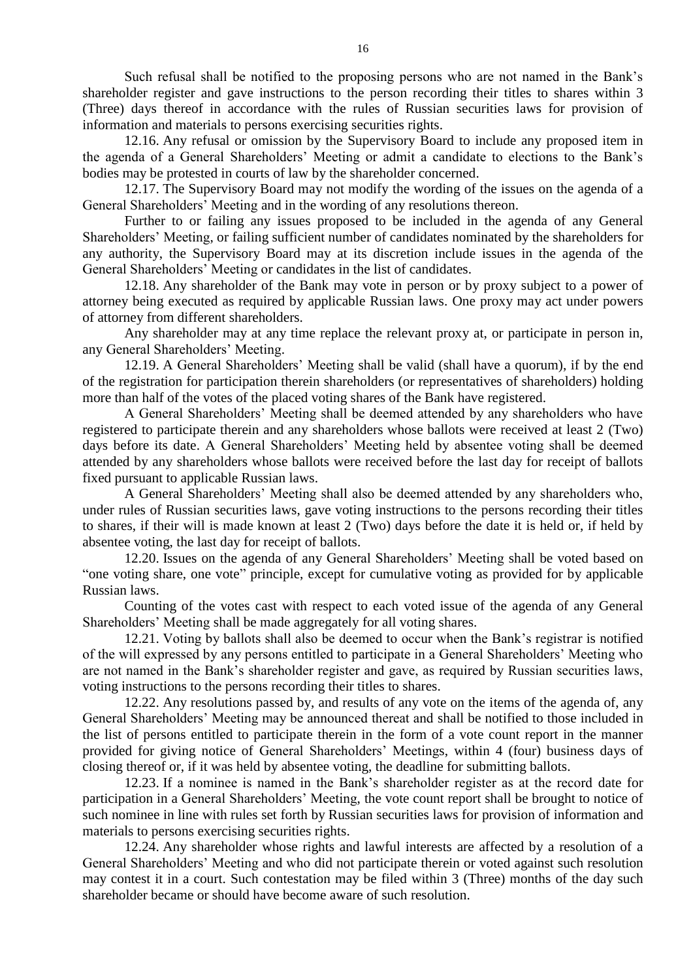Such refusal shall be notified to the proposing persons who are not named in the Bank's shareholder register and gave instructions to the person recording their titles to shares within 3 (Three) days thereof in accordance with the rules of Russian securities laws for provision of information and materials to persons exercising securities rights.

12.16. Any refusal or omission by the Supervisory Board to include any proposed item in the agenda of a General Shareholders' Meeting or admit a candidate to elections to the Bank's bodies may be protested in courts of law by the shareholder concerned.

12.17. The Supervisory Board may not modify the wording of the issues on the agenda of a General Shareholders' Meeting and in the wording of any resolutions thereon.

Further to or failing any issues proposed to be included in the agenda of any General Shareholders' Meeting, or failing sufficient number of candidates nominated by the shareholders for any authority, the Supervisory Board may at its discretion include issues in the agenda of the General Shareholders' Meeting or candidates in the list of candidates.

12.18. Any shareholder of the Bank may vote in person or by proxy subject to a power of attorney being executed as required by applicable Russian laws. One proxy may act under powers of attorney from different shareholders.

Any shareholder may at any time replace the relevant proxy at, or participate in person in, any General Shareholders' Meeting.

12.19. A General Shareholders' Meeting shall be valid (shall have a quorum), if by the end of the registration for participation therein shareholders (or representatives of shareholders) holding more than half of the votes of the placed voting shares of the Bank have registered.

A General Shareholders' Meeting shall be deemed attended by any shareholders who have registered to participate therein and any shareholders whose ballots were received at least 2 (Two) days before its date. A General Shareholders' Meeting held by absentee voting shall be deemed attended by any shareholders whose ballots were received before the last day for receipt of ballots fixed pursuant to applicable Russian laws.

A General Shareholders' Meeting shall also be deemed attended by any shareholders who, under rules of Russian securities laws, gave voting instructions to the persons recording their titles to shares, if their will is made known at least 2 (Two) days before the date it is held or, if held by absentee voting, the last day for receipt of ballots.

12.20. Issues on the agenda of any General Shareholders' Meeting shall be voted based on "one voting share, one vote" principle, except for cumulative voting as provided for by applicable Russian laws.

Counting of the votes cast with respect to each voted issue of the agenda of any General Shareholders' Meeting shall be made aggregately for all voting shares.

12.21. Voting by ballots shall also be deemed to occur when the Bank's registrar is notified of the will expressed by any persons entitled to participate in a General Shareholders' Meeting who are not named in the Bank's shareholder register and gave, as required by Russian securities laws, voting instructions to the persons recording their titles to shares.

12.22. Any resolutions passed by, and results of any vote on the items of the agenda of, any General Shareholders' Meeting may be announced thereat and shall be notified to those included in the list of persons entitled to participate therein in the form of a vote count report in the manner provided for giving notice of General Shareholders' Meetings, within 4 (four) business days of closing thereof or, if it was held by absentee voting, the deadline for submitting ballots.

12.23. If a nominee is named in the Bank's shareholder register as at the record date for participation in a General Shareholders' Meeting, the vote count report shall be brought to notice of such nominee in line with rules set forth by Russian securities laws for provision of information and materials to persons exercising securities rights.

12.24. Any shareholder whose rights and lawful interests are affected by a resolution of a General Shareholders' Meeting and who did not participate therein or voted against such resolution may contest it in a court. Such contestation may be filed within 3 (Three) months of the day such shareholder became or should have become aware of such resolution.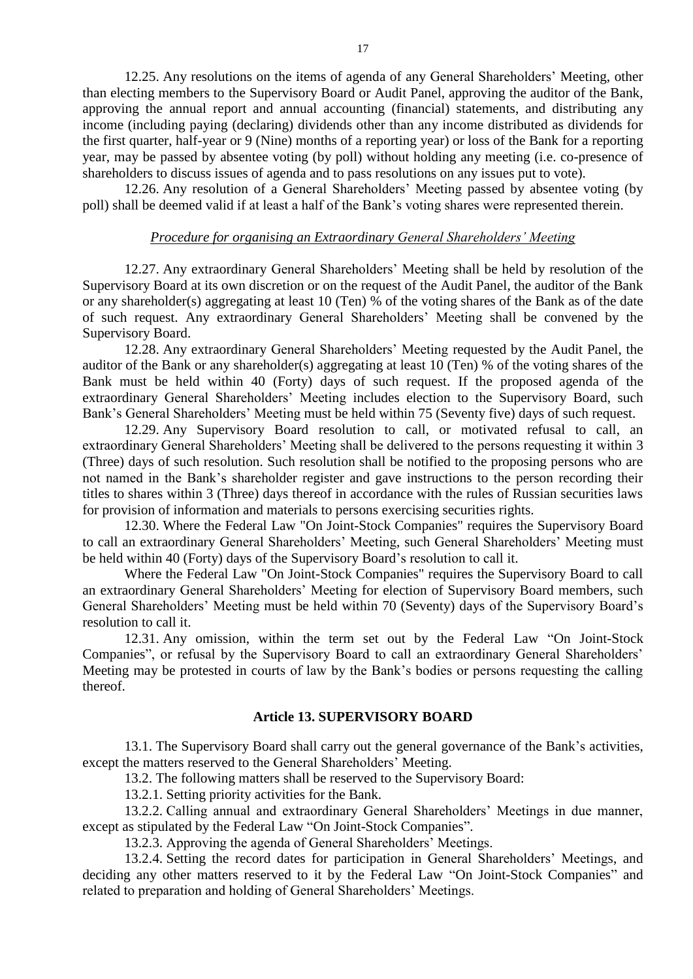12.25. Any resolutions on the items of agenda of any General Shareholders' Meeting, other than electing members to the Supervisory Board or Audit Panel, approving the auditor of the Bank, approving the annual report and annual accounting (financial) statements, and distributing any income (including paying (declaring) dividends other than any income distributed as dividends for the first quarter, half-year or 9 (Nine) months of a reporting year) or loss of the Bank for a reporting year, may be passed by absentee voting (by poll) without holding any meeting (i.e. co-presence of shareholders to discuss issues of agenda and to pass resolutions on any issues put to vote).

12.26. Any resolution of a General Shareholders' Meeting passed by absentee voting (by poll) shall be deemed valid if at least a half of the Bank's voting shares were represented therein.

## *Procedure for organising an Extraordinary General Shareholders' Meeting*

12.27. Any extraordinary General Shareholders' Meeting shall be held by resolution of the Supervisory Board at its own discretion or on the request of the Audit Panel, the auditor of the Bank or any shareholder(s) aggregating at least 10 (Ten) % of the voting shares of the Bank as of the date of such request. Any extraordinary General Shareholders' Meeting shall be convened by the Supervisory Board.

12.28. Any extraordinary General Shareholders' Meeting requested by the Audit Panel, the auditor of the Bank or any shareholder(s) aggregating at least 10 (Ten) % of the voting shares of the Bank must be held within 40 (Forty) days of such request. If the proposed agenda of the extraordinary General Shareholders' Meeting includes election to the Supervisory Board, such Bank's General Shareholders' Meeting must be held within 75 (Seventy five) days of such request.

12.29. Any Supervisory Board resolution to call, or motivated refusal to call, an extraordinary General Shareholders' Meeting shall be delivered to the persons requesting it within 3 (Three) days of such resolution. Such resolution shall be notified to the proposing persons who are not named in the Bank's shareholder register and gave instructions to the person recording their titles to shares within 3 (Three) days thereof in accordance with the rules of Russian securities laws for provision of information and materials to persons exercising securities rights.

12.30. Where the Federal Law "On Joint-Stock Companies" requires the Supervisory Board to call an extraordinary General Shareholders' Meeting, such General Shareholders' Meeting must be held within 40 (Forty) days of the Supervisory Board's resolution to call it.

Where the Federal Law "On Joint-Stock Companies" requires the Supervisory Board to call an extraordinary General Shareholders' Meeting for election of Supervisory Board members, such General Shareholders' Meeting must be held within 70 (Seventy) days of the Supervisory Board's resolution to call it.

12.31. Any omission, within the term set out by the Federal Law "On Joint-Stock Companies", or refusal by the Supervisory Board to call an extraordinary General Shareholders' Meeting may be protested in courts of law by the Bank's bodies or persons requesting the calling thereof.

#### **Article 13. SUPERVISORY BOARD**

13.1. The Supervisory Board shall carry out the general governance of the Bank's activities, except the matters reserved to the General Shareholders' Meeting.

13.2. The following matters shall be reserved to the Supervisory Board:

13.2.1. Setting priority activities for the Bank.

13.2.2. Calling annual and extraordinary General Shareholders' Meetings in due manner, except as stipulated by the Federal Law "On Joint-Stock Companies".

13.2.3. Approving the agenda of General Shareholders' Meetings.

13.2.4. Setting the record dates for participation in General Shareholders' Meetings, and deciding any other matters reserved to it by the Federal Law "On Joint-Stock Companies" and related to preparation and holding of General Shareholders' Meetings.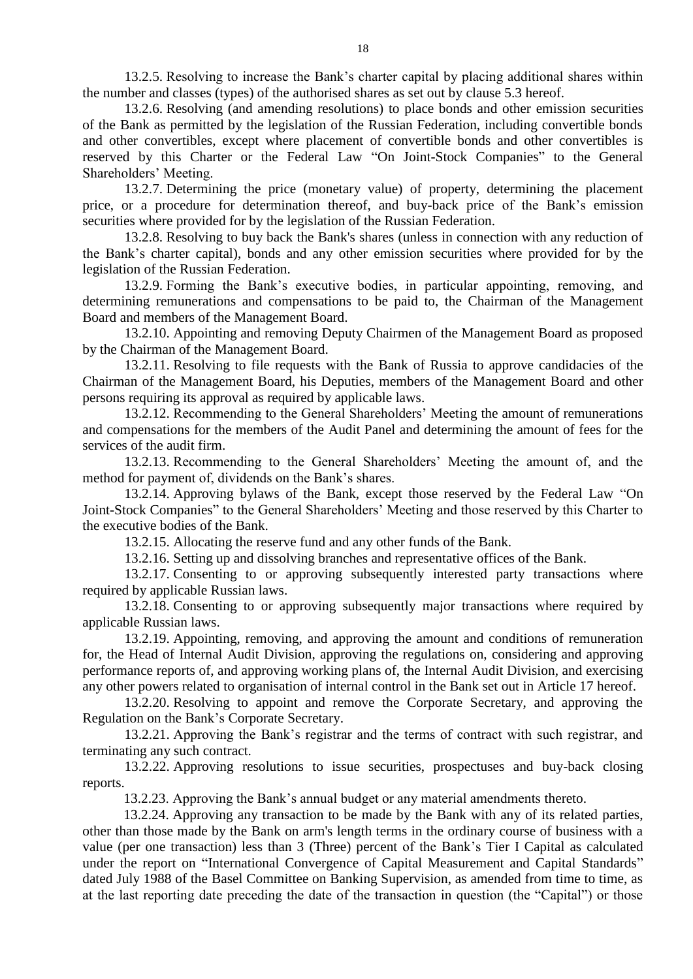13.2.5. Resolving to increase the Bank's charter capital by placing additional shares within the number and classes (types) of the authorised shares as set out by clause 5.3 hereof.

13.2.6. Resolving (and amending resolutions) to place bonds and other emission securities of the Bank as permitted by the legislation of the Russian Federation, including convertible bonds and other convertibles, except where placement of convertible bonds and other convertibles is reserved by this Charter or the Federal Law "On Joint-Stock Companies" to the General Shareholders' Meeting.

13.2.7. Determining the price (monetary value) of property, determining the placement price, or a procedure for determination thereof, and buy-back price of the Bank's emission securities where provided for by the legislation of the Russian Federation.

13.2.8. Resolving to buy back the Bank's shares (unless in connection with any reduction of the Bank's charter capital), bonds and any other emission securities where provided for by the legislation of the Russian Federation.

13.2.9. Forming the Bank's executive bodies, in particular appointing, removing, and determining remunerations and compensations to be paid to, the Chairman of the Management Board and members of the Management Board.

13.2.10. Appointing and removing Deputy Chairmen of the Management Board as proposed by the Chairman of the Management Board.

13.2.11. Resolving to file requests with the Bank of Russia to approve candidacies of the Chairman of the Management Board, his Deputies, members of the Management Board and other persons requiring its approval as required by applicable laws.

13.2.12. Recommending to the General Shareholders' Meeting the amount of remunerations and compensations for the members of the Audit Panel and determining the amount of fees for the services of the audit firm.

13.2.13. Recommending to the General Shareholders' Meeting the amount of, and the method for payment of, dividends on the Bank's shares.

13.2.14. Approving bylaws of the Bank, except those reserved by the Federal Law "On Joint-Stock Companies" to the General Shareholders' Meeting and those reserved by this Charter to the executive bodies of the Bank.

13.2.15. Allocating the reserve fund and any other funds of the Bank.

13.2.16. Setting up and dissolving branches and representative offices of the Bank.

13.2.17. Consenting to or approving subsequently interested party transactions where required by applicable Russian laws.

13.2.18. Consenting to or approving subsequently major transactions where required by applicable Russian laws.

13.2.19. Appointing, removing, and approving the amount and conditions of remuneration for, the Head of Internal Audit Division, approving the regulations on, considering and approving performance reports of, and approving working plans of, the Internal Audit Division, and exercising any other powers related to organisation of internal control in the Bank set out in Article 17 hereof.

13.2.20. Resolving to appoint and remove the Corporate Secretary, and approving the Regulation on the Bank's Corporate Secretary.

13.2.21. Approving the Bank's registrar and the terms of contract with such registrar, and terminating any such contract.

13.2.22. Approving resolutions to issue securities, prospectuses and buy-back closing reports.

13.2.23. Approving the Bank's annual budget or any material amendments thereto.

13.2.24. Approving any transaction to be made by the Bank with any of its related parties, other than those made by the Bank on arm's length terms in the ordinary course of business with a value (per one transaction) less than 3 (Three) percent of the Bank's Tier I Capital as calculated under the report on "International Convergence of Capital Measurement and Capital Standards" dated July 1988 of the Basel Committee on Banking Supervision, as amended from time to time, as at the last reporting date preceding the date of the transaction in question (the "Capital") or those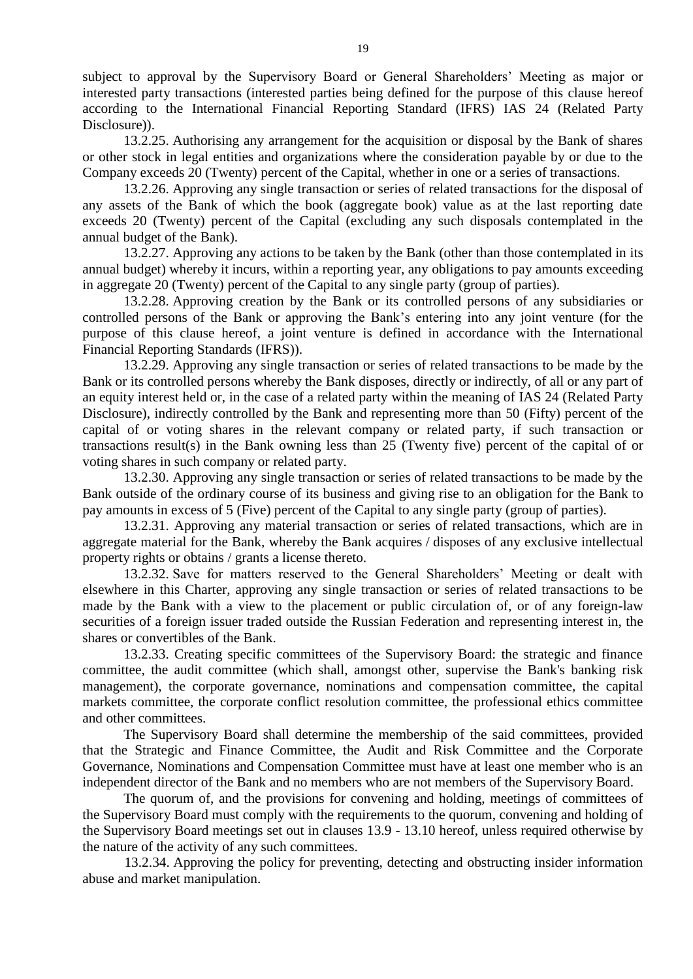subject to approval by the Supervisory Board or General Shareholders' Meeting as major or interested party transactions (interested parties being defined for the purpose of this clause hereof according to the International Financial Reporting Standard (IFRS) IAS 24 (Related Party Disclosure)).

13.2.25. Authorising any arrangement for the acquisition or disposal by the Bank of shares or other stock in legal entities and organizations where the consideration payable by or due to the Company exceeds 20 (Twenty) percent of the Capital, whether in one or a series of transactions.

13.2.26. Approving any single transaction or series of related transactions for the disposal of any assets of the Bank of which the book (aggregate book) value as at the last reporting date exceeds 20 (Twenty) percent of the Capital (excluding any such disposals contemplated in the annual budget of the Bank).

13.2.27. Approving any actions to be taken by the Bank (other than those contemplated in its annual budget) whereby it incurs, within a reporting year, any obligations to pay amounts exceeding in aggregate 20 (Twenty) percent of the Capital to any single party (group of parties).

13.2.28. Approving creation by the Bank or its controlled persons of any subsidiaries or controlled persons of the Bank or approving the Bank's entering into any joint venture (for the purpose of this clause hereof, a joint venture is defined in accordance with the International Financial Reporting Standards (IFRS)).

13.2.29. Approving any single transaction or series of related transactions to be made by the Bank or its controlled persons whereby the Bank disposes, directly or indirectly, of all or any part of an equity interest held or, in the case of a related party within the meaning of IAS 24 (Related Party Disclosure), indirectly controlled by the Bank and representing more than 50 (Fifty) percent of the capital of or voting shares in the relevant company or related party, if such transaction or transactions result(s) in the Bank owning less than 25 (Twenty five) percent of the capital of or voting shares in such company or related party.

13.2.30. Approving any single transaction or series of related transactions to be made by the Bank outside of the ordinary course of its business and giving rise to an obligation for the Bank to pay amounts in excess of 5 (Five) percent of the Capital to any single party (group of parties).

13.2.31. Approving any material transaction or series of related transactions, which are in aggregate material for the Bank, whereby the Bank acquires / disposes of any exclusive intellectual property rights or obtains / grants a license thereto.

13.2.32. Save for matters reserved to the General Shareholders' Meeting or dealt with elsewhere in this Charter, approving any single transaction or series of related transactions to be made by the Bank with a view to the placement or public circulation of, or of any foreign-law securities of a foreign issuer traded outside the Russian Federation and representing interest in, the shares or convertibles of the Bank.

13.2.33. Creating specific committees of the Supervisory Board: the strategic and finance committee, the audit committee (which shall, amongst other, supervise the Bank's banking risk management), the corporate governance, nominations and compensation committee, the capital markets committee, the corporate conflict resolution committee, the professional ethics committee and other committees.

The Supervisory Board shall determine the membership of the said committees, provided that the Strategic and Finance Committee, the Audit and Risk Committee and the Corporate Governance, Nominations and Compensation Committee must have at least one member who is an independent director of the Bank and no members who are not members of the Supervisory Board.

The quorum of, and the provisions for convening and holding, meetings of committees of the Supervisory Board must comply with the requirements to the quorum, convening and holding of the Supervisory Board meetings set out in clauses 13.9 - 13.10 hereof, unless required otherwise by the nature of the activity of any such committees.

13.2.34. Approving the policy for preventing, detecting and obstructing insider information abuse and market manipulation.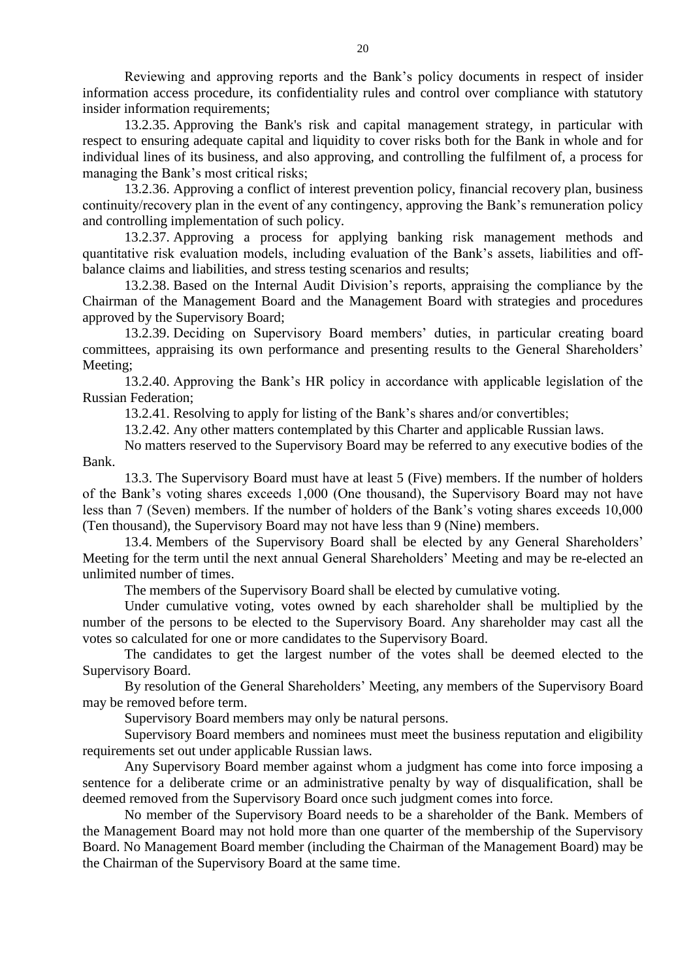Reviewing and approving reports and the Bank's policy documents in respect of insider information access procedure, its confidentiality rules and control over compliance with statutory insider information requirements;

13.2.35. Approving the Bank's risk and capital management strategy, in particular with respect to ensuring adequate capital and liquidity to cover risks both for the Bank in whole and for individual lines of its business, and also approving, and controlling the fulfilment of, a process for managing the Bank's most critical risks;

13.2.36. Approving a conflict of interest prevention policy, financial recovery plan, business continuity/recovery plan in the event of any contingency, approving the Bank's remuneration policy and controlling implementation of such policy.

13.2.37. Approving a process for applying banking risk management methods and quantitative risk evaluation models, including evaluation of the Bank's assets, liabilities and offbalance claims and liabilities, and stress testing scenarios and results;

13.2.38. Based on the Internal Audit Division's reports, appraising the compliance by the Chairman of the Management Board and the Management Board with strategies and procedures approved by the Supervisory Board;

13.2.39. Deciding on Supervisory Board members' duties, in particular creating board committees, appraising its own performance and presenting results to the General Shareholders' Meeting;

13.2.40. Approving the Bank's HR policy in accordance with applicable legislation of the Russian Federation;

13.2.41. Resolving to apply for listing of the Bank's shares and/or convertibles;

13.2.42. Any other matters contemplated by this Charter and applicable Russian laws.

No matters reserved to the Supervisory Board may be referred to any executive bodies of the Bank.

13.3. The Supervisory Board must have at least 5 (Five) members. If the number of holders of the Bank's voting shares exceeds 1,000 (One thousand), the Supervisory Board may not have less than 7 (Seven) members. If the number of holders of the Bank's voting shares exceeds 10,000 (Ten thousand), the Supervisory Board may not have less than 9 (Nine) members.

13.4. Members of the Supervisory Board shall be elected by any General Shareholders' Meeting for the term until the next annual General Shareholders' Meeting and may be re-elected an unlimited number of times.

The members of the Supervisory Board shall be elected by cumulative voting.

Under cumulative voting, votes owned by each shareholder shall be multiplied by the number of the persons to be elected to the Supervisory Board. Any shareholder may cast all the votes so calculated for one or more candidates to the Supervisory Board.

The candidates to get the largest number of the votes shall be deemed elected to the Supervisory Board.

By resolution of the General Shareholders' Meeting, any members of the Supervisory Board may be removed before term.

Supervisory Board members may only be natural persons.

Supervisory Board members and nominees must meet the business reputation and eligibility requirements set out under applicable Russian laws.

Any Supervisory Board member against whom a judgment has come into force imposing a sentence for a deliberate crime or an administrative penalty by way of disqualification, shall be deemed removed from the Supervisory Board once such judgment comes into force.

No member of the Supervisory Board needs to be a shareholder of the Bank. Members of the Management Board may not hold more than one quarter of the membership of the Supervisory Board. No Management Board member (including the Chairman of the Management Board) may be the Chairman of the Supervisory Board at the same time.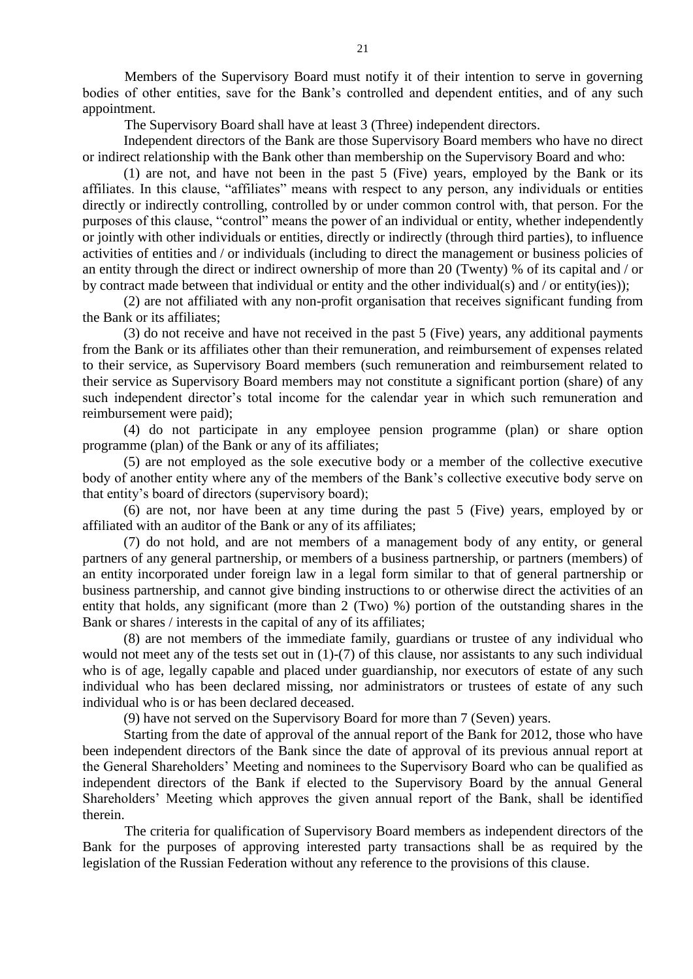Members of the Supervisory Board must notify it of their intention to serve in governing bodies of other entities, save for the Bank's controlled and dependent entities, and of any such appointment.

The Supervisory Board shall have at least 3 (Three) independent directors.

Independent directors of the Bank are those Supervisory Board members who have no direct or indirect relationship with the Bank other than membership on the Supervisory Board and who:

(1) are not, and have not been in the past 5 (Five) years, employed by the Bank or its affiliates. In this clause, "affiliates" means with respect to any person, any individuals or entities directly or indirectly controlling, controlled by or under common control with, that person. For the purposes of this clause, "control" means the power of an individual or entity, whether independently or jointly with other individuals or entities, directly or indirectly (through third parties), to influence activities of entities and / or individuals (including to direct the management or business policies of an entity through the direct or indirect ownership of more than 20 (Twenty) % of its capital and / or by contract made between that individual or entity and the other individual(s) and / or entity(ies));

(2) are not affiliated with any non-profit organisation that receives significant funding from the Bank or its affiliates;

(3) do not receive and have not received in the past 5 (Five) years, any additional payments from the Bank or its affiliates other than their remuneration, and reimbursement of expenses related to their service, as Supervisory Board members (such remuneration and reimbursement related to their service as Supervisory Board members may not constitute a significant portion (share) of any such independent director's total income for the calendar year in which such remuneration and reimbursement were paid);

(4) do not participate in any employee pension programme (plan) or share option programme (plan) of the Bank or any of its affiliates;

(5) are not employed as the sole executive body or a member of the collective executive body of another entity where any of the members of the Bank's collective executive body serve on that entity's board of directors (supervisory board);

(6) are not, nor have been at any time during the past 5 (Five) years, employed by or affiliated with an auditor of the Bank or any of its affiliates;

(7) do not hold, and are not members of a management body of any entity, or general partners of any general partnership, or members of a business partnership, or partners (members) of an entity incorporated under foreign law in a legal form similar to that of general partnership or business partnership, and cannot give binding instructions to or otherwise direct the activities of an entity that holds, any significant (more than 2 (Two) %) portion of the outstanding shares in the Bank or shares / interests in the capital of any of its affiliates;

(8) are not members of the immediate family, guardians or trustee of any individual who would not meet any of the tests set out in (1)-(7) of this clause, nor assistants to any such individual who is of age, legally capable and placed under guardianship, nor executors of estate of any such individual who has been declared missing, nor administrators or trustees of estate of any such individual who is or has been declared deceased.

(9) have not served on the Supervisory Board for more than 7 (Seven) years.

Starting from the date of approval of the annual report of the Bank for 2012, those who have been independent directors of the Bank since the date of approval of its previous annual report at the General Shareholders' Meeting and nominees to the Supervisory Board who can be qualified as independent directors of the Bank if elected to the Supervisory Board by the annual General Shareholders' Meeting which approves the given annual report of the Bank, shall be identified therein.

The criteria for qualification of Supervisory Board members as independent directors of the Bank for the purposes of approving interested party transactions shall be as required by the legislation of the Russian Federation without any reference to the provisions of this clause.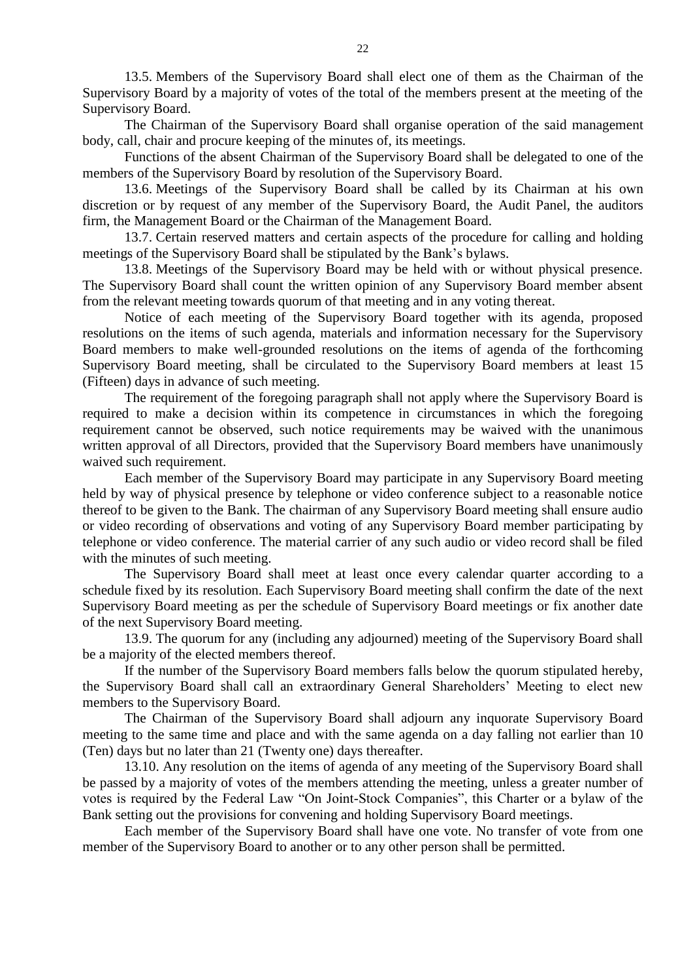13.5. Members of the Supervisory Board shall elect one of them as the Chairman of the Supervisory Board by a majority of votes of the total of the members present at the meeting of the Supervisory Board.

The Chairman of the Supervisory Board shall organise operation of the said management body, call, chair and procure keeping of the minutes of, its meetings.

Functions of the absent Chairman of the Supervisory Board shall be delegated to one of the members of the Supervisory Board by resolution of the Supervisory Board.

13.6. Meetings of the Supervisory Board shall be called by its Chairman at his own discretion or by request of any member of the Supervisory Board, the Audit Panel, the auditors firm, the Management Board or the Chairman of the Management Board.

13.7. Certain reserved matters and certain aspects of the procedure for calling and holding meetings of the Supervisory Board shall be stipulated by the Bank's bylaws.

13.8. Meetings of the Supervisory Board may be held with or without physical presence. The Supervisory Board shall count the written opinion of any Supervisory Board member absent from the relevant meeting towards quorum of that meeting and in any voting thereat.

Notice of each meeting of the Supervisory Board together with its agenda, proposed resolutions on the items of such agenda, materials and information necessary for the Supervisory Board members to make well-grounded resolutions on the items of agenda of the forthcoming Supervisory Board meeting, shall be circulated to the Supervisory Board members at least 15 (Fifteen) days in advance of such meeting.

The requirement of the foregoing paragraph shall not apply where the Supervisory Board is required to make a decision within its competence in circumstances in which the foregoing requirement cannot be observed, such notice requirements may be waived with the unanimous written approval of all Directors, provided that the Supervisory Board members have unanimously waived such requirement.

Each member of the Supervisory Board may participate in any Supervisory Board meeting held by way of physical presence by telephone or video conference subject to a reasonable notice thereof to be given to the Bank. The chairman of any Supervisory Board meeting shall ensure audio or video recording of observations and voting of any Supervisory Board member participating by telephone or video conference. The material carrier of any such audio or video record shall be filed with the minutes of such meeting.

The Supervisory Board shall meet at least once every calendar quarter according to a schedule fixed by its resolution. Each Supervisory Board meeting shall confirm the date of the next Supervisory Board meeting as per the schedule of Supervisory Board meetings or fix another date of the next Supervisory Board meeting.

13.9. The quorum for any (including any adjourned) meeting of the Supervisory Board shall be a majority of the elected members thereof.

If the number of the Supervisory Board members falls below the quorum stipulated hereby, the Supervisory Board shall call an extraordinary General Shareholders' Meeting to elect new members to the Supervisory Board.

The Chairman of the Supervisory Board shall adjourn any inquorate Supervisory Board meeting to the same time and place and with the same agenda on a day falling not earlier than 10 (Ten) days but no later than 21 (Twenty one) days thereafter.

13.10. Any resolution on the items of agenda of any meeting of the Supervisory Board shall be passed by a majority of votes of the members attending the meeting, unless a greater number of votes is required by the Federal Law "On Joint-Stock Companies", this Charter or a bylaw of the Bank setting out the provisions for convening and holding Supervisory Board meetings.

Each member of the Supervisory Board shall have one vote. No transfer of vote from one member of the Supervisory Board to another or to any other person shall be permitted.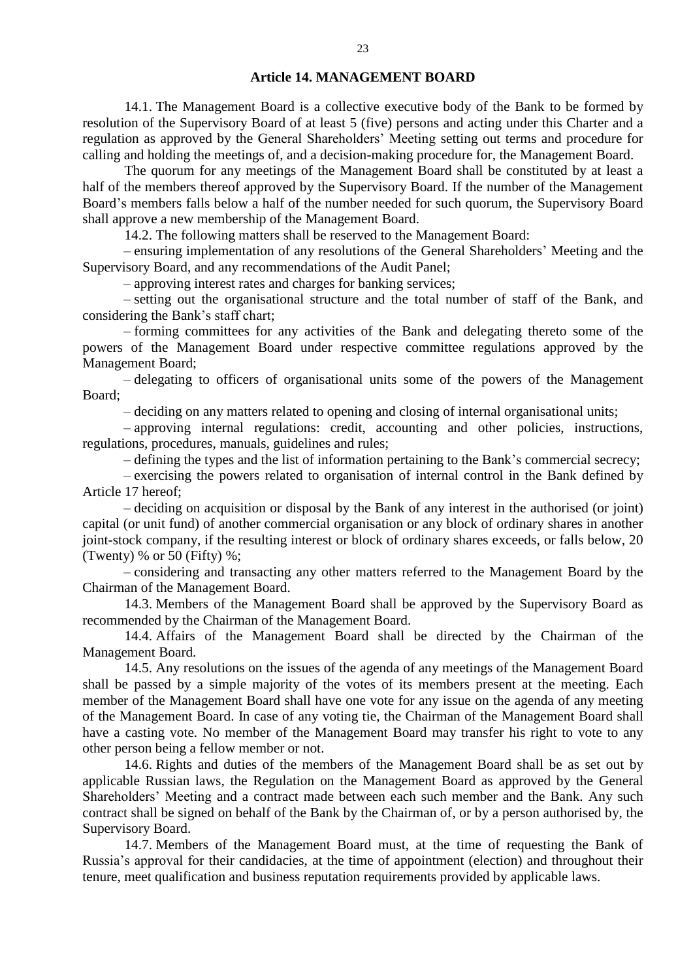#### **Article 14. MANAGEMENT BOARD**

14.1. The Management Board is a collective executive body of the Bank to be formed by resolution of the Supervisory Board of at least 5 (five) persons and acting under this Charter and a regulation as approved by the General Shareholders' Meeting setting out terms and procedure for calling and holding the meetings of, and a decision-making procedure for, the Management Board.

The quorum for any meetings of the Management Board shall be constituted by at least a half of the members thereof approved by the Supervisory Board. If the number of the Management Board's members falls below a half of the number needed for such quorum, the Supervisory Board shall approve a new membership of the Management Board.

14.2. The following matters shall be reserved to the Management Board:

– ensuring implementation of any resolutions of the General Shareholders' Meeting and the Supervisory Board, and any recommendations of the Audit Panel;

– approving interest rates and charges for banking services;

– setting out the organisational structure and the total number of staff of the Bank, and considering the Bank's staff chart;

– forming committees for any activities of the Bank and delegating thereto some of the powers of the Management Board under respective committee regulations approved by the Management Board;

– delegating to officers of organisational units some of the powers of the Management Board;

– deciding on any matters related to opening and closing of internal organisational units;

– approving internal regulations: credit, accounting and other policies, instructions, regulations, procedures, manuals, guidelines and rules;

– defining the types and the list of information pertaining to the Bank's commercial secrecy;

– exercising the powers related to organisation of internal control in the Bank defined by Article 17 hereof;

– deciding on acquisition or disposal by the Bank of any interest in the authorised (or joint) capital (or unit fund) of another commercial organisation or any block of ordinary shares in another joint-stock company, if the resulting interest or block of ordinary shares exceeds, or falls below, 20 (Twenty) % or 50 (Fifty) %;

– considering and transacting any other matters referred to the Management Board by the Chairman of the Management Board.

14.3. Members of the Management Board shall be approved by the Supervisory Board as recommended by the Chairman of the Management Board.

14.4. Affairs of the Management Board shall be directed by the Chairman of the Management Board.

14.5. Any resolutions on the issues of the agenda of any meetings of the Management Board shall be passed by a simple majority of the votes of its members present at the meeting. Each member of the Management Board shall have one vote for any issue on the agenda of any meeting of the Management Board. In case of any voting tie, the Chairman of the Management Board shall have a casting vote. No member of the Management Board may transfer his right to vote to any other person being a fellow member or not.

14.6. Rights and duties of the members of the Management Board shall be as set out by applicable Russian laws, the Regulation on the Management Board as approved by the General Shareholders' Meeting and a contract made between each such member and the Bank. Any such contract shall be signed on behalf of the Bank by the Chairman of, or by a person authorised by, the Supervisory Board.

14.7. Members of the Management Board must, at the time of requesting the Bank of Russia's approval for their candidacies, at the time of appointment (election) and throughout their tenure, meet qualification and business reputation requirements provided by applicable laws.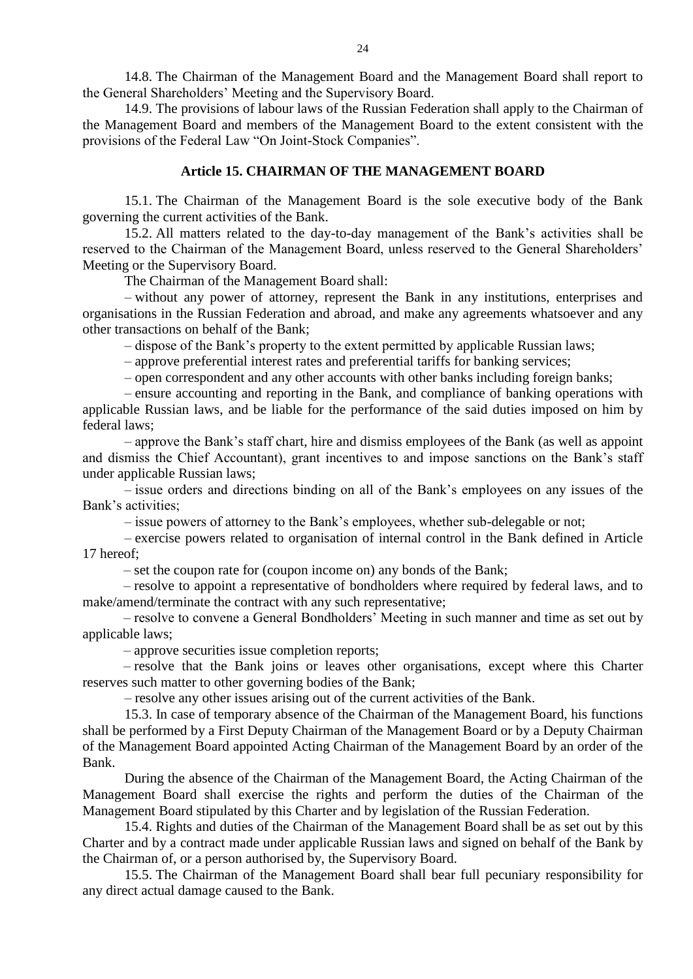14.8. The Chairman of the Management Board and the Management Board shall report to the General Shareholders' Meeting and the Supervisory Board.

14.9. The provisions of labour laws of the Russian Federation shall apply to the Chairman of the Management Board and members of the Management Board to the extent consistent with the provisions of the Federal Law "On Joint-Stock Companies".

#### **Article 15. CHAIRMAN OF THE MANAGEMENT BOARD**

15.1. The Chairman of the Management Board is the sole executive body of the Bank governing the current activities of the Bank.

15.2. All matters related to the day-to-day management of the Bank's activities shall be reserved to the Chairman of the Management Board, unless reserved to the General Shareholders' Meeting or the Supervisory Board.

The Chairman of the Management Board shall:

– without any power of attorney, represent the Bank in any institutions, enterprises and organisations in the Russian Federation and abroad, and make any agreements whatsoever and any other transactions on behalf of the Bank;

– dispose of the Bank's property to the extent permitted by applicable Russian laws;

– approve preferential interest rates and preferential tariffs for banking services;

– open correspondent and any other accounts with other banks including foreign banks;

– ensure accounting and reporting in the Bank, and compliance of banking operations with applicable Russian laws, and be liable for the performance of the said duties imposed on him by federal laws;

– approve the Bank's staff chart, hire and dismiss employees of the Bank (as well as appoint and dismiss the Chief Accountant), grant incentives to and impose sanctions on the Bank's staff under applicable Russian laws;

– issue orders and directions binding on all of the Bank's employees on any issues of the Bank's activities;

– issue powers of attorney to the Bank's employees, whether sub-delegable or not;

– exercise powers related to organisation of internal control in the Bank defined in Article 17 hereof;

– set the coupon rate for (coupon income on) any bonds of the Bank;

– resolve to appoint a representative of bondholders where required by federal laws, and to make/amend/terminate the contract with any such representative;

– resolve to convene a General Bondholders' Meeting in such manner and time as set out by applicable laws;

– approve securities issue completion reports;

– resolve that the Bank joins or leaves other organisations, except where this Charter reserves such matter to other governing bodies of the Bank;

– resolve any other issues arising out of the current activities of the Bank.

15.3. In case of temporary absence of the Chairman of the Management Board, his functions shall be performed by a First Deputy Chairman of the Management Board or by a Deputy Chairman of the Management Board appointed Acting Chairman of the Management Board by an order of the Bank.

During the absence of the Chairman of the Management Board, the Acting Chairman of the Management Board shall exercise the rights and perform the duties of the Chairman of the Management Board stipulated by this Charter and by legislation of the Russian Federation.

15.4. Rights and duties of the Chairman of the Management Board shall be as set out by this Charter and by a contract made under applicable Russian laws and signed on behalf of the Bank by the Chairman of, or a person authorised by, the Supervisory Board.

15.5. The Chairman of the Management Board shall bear full pecuniary responsibility for any direct actual damage caused to the Bank.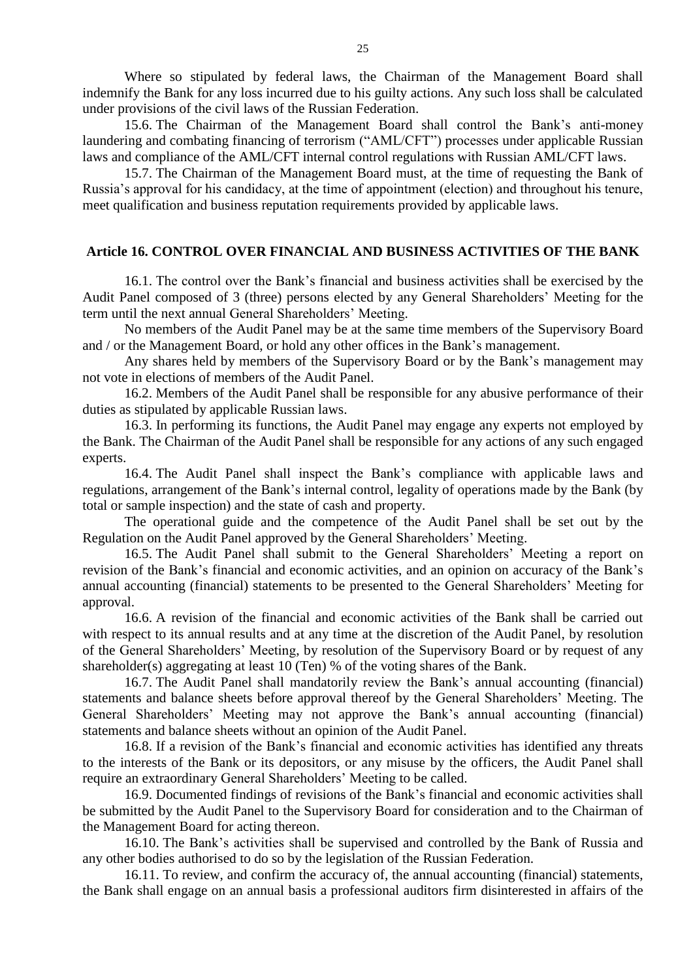Where so stipulated by federal laws, the Chairman of the Management Board shall indemnify the Bank for any loss incurred due to his guilty actions. Any such loss shall be calculated under provisions of the civil laws of the Russian Federation.

15.6. The Chairman of the Management Board shall control the Bank's anti-money laundering and combating financing of terrorism ("AML/CFT") processes under applicable Russian laws and compliance of the AML/CFT internal control regulations with Russian AML/CFT laws.

15.7. The Chairman of the Management Board must, at the time of requesting the Bank of Russia's approval for his candidacy, at the time of appointment (election) and throughout his tenure, meet qualification and business reputation requirements provided by applicable laws.

## **Article 16. CONTROL OVER FINANCIAL AND BUSINESS ACTIVITIES OF THE BANK**

16.1. The control over the Bank's financial and business activities shall be exercised by the Audit Panel composed of 3 (three) persons elected by any General Shareholders' Meeting for the term until the next annual General Shareholders' Meeting.

No members of the Audit Panel may be at the same time members of the Supervisory Board and / or the Management Board, or hold any other offices in the Bank's management.

Any shares held by members of the Supervisory Board or by the Bank's management may not vote in elections of members of the Audit Panel.

16.2. Members of the Audit Panel shall be responsible for any abusive performance of their duties as stipulated by applicable Russian laws.

16.3. In performing its functions, the Audit Panel may engage any experts not employed by the Bank. The Chairman of the Audit Panel shall be responsible for any actions of any such engaged experts.

16.4. The Audit Panel shall inspect the Bank's compliance with applicable laws and regulations, arrangement of the Bank's internal control, legality of operations made by the Bank (by total or sample inspection) and the state of cash and property.

The operational guide and the competence of the Audit Panel shall be set out by the Regulation on the Audit Panel approved by the General Shareholders' Meeting.

16.5. The Audit Panel shall submit to the General Shareholders' Meeting a report on revision of the Bank's financial and economic activities, and an opinion on accuracy of the Bank's annual accounting (financial) statements to be presented to the General Shareholders' Meeting for approval.

16.6. A revision of the financial and economic activities of the Bank shall be carried out with respect to its annual results and at any time at the discretion of the Audit Panel, by resolution of the General Shareholders' Meeting, by resolution of the Supervisory Board or by request of any shareholder(s) aggregating at least 10 (Ten) % of the voting shares of the Bank.

16.7. The Audit Panel shall mandatorily review the Bank's annual accounting (financial) statements and balance sheets before approval thereof by the General Shareholders' Meeting. The General Shareholders' Meeting may not approve the Bank's annual accounting (financial) statements and balance sheets without an opinion of the Audit Panel.

16.8. If a revision of the Bank's financial and economic activities has identified any threats to the interests of the Bank or its depositors, or any misuse by the officers, the Audit Panel shall require an extraordinary General Shareholders' Meeting to be called.

16.9. Documented findings of revisions of the Bank's financial and economic activities shall be submitted by the Audit Panel to the Supervisory Board for consideration and to the Chairman of the Management Board for acting thereon.

16.10. The Bank's activities shall be supervised and controlled by the Bank of Russia and any other bodies authorised to do so by the legislation of the Russian Federation.

16.11. To review, and confirm the accuracy of, the annual accounting (financial) statements, the Bank shall engage on an annual basis a professional auditors firm disinterested in affairs of the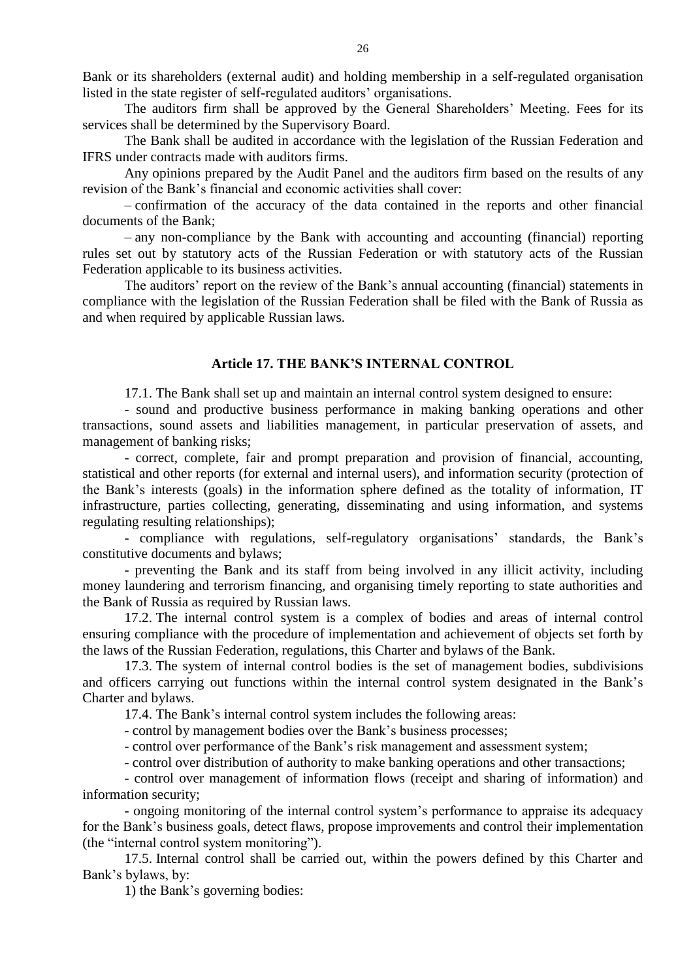Bank or its shareholders (external audit) and holding membership in a self-regulated organisation listed in the state register of self-regulated auditors' organisations.

The auditors firm shall be approved by the General Shareholders' Meeting. Fees for its services shall be determined by the Supervisory Board.

The Bank shall be audited in accordance with the legislation of the Russian Federation and IFRS under contracts made with auditors firms.

Any opinions prepared by the Audit Panel and the auditors firm based on the results of any revision of the Bank's financial and economic activities shall cover:

– confirmation of the accuracy of the data contained in the reports and other financial documents of the Bank;

– any non-compliance by the Bank with accounting and accounting (financial) reporting rules set out by statutory acts of the Russian Federation or with statutory acts of the Russian Federation applicable to its business activities.

The auditors' report on the review of the Bank's annual accounting (financial) statements in compliance with the legislation of the Russian Federation shall be filed with the Bank of Russia as and when required by applicable Russian laws.

## **Article 17. THE BANK'S INTERNAL CONTROL**

17.1. The Bank shall set up and maintain an internal control system designed to ensure:

- sound and productive business performance in making banking operations and other transactions, sound assets and liabilities management, in particular preservation of assets, and management of banking risks;

- correct, complete, fair and prompt preparation and provision of financial, accounting, statistical and other reports (for external and internal users), and information security (protection of the Bank's interests (goals) in the information sphere defined as the totality of information, IT infrastructure, parties collecting, generating, disseminating and using information, and systems regulating resulting relationships);

- compliance with regulations, self-regulatory organisations' standards, the Bank's constitutive documents and bylaws;

- preventing the Bank and its staff from being involved in any illicit activity, including money laundering and terrorism financing, and organising timely reporting to state authorities and the Bank of Russia as required by Russian laws.

17.2. The internal control system is a complex of bodies and areas of internal control ensuring compliance with the procedure of implementation and achievement of objects set forth by the laws of the Russian Federation, regulations, this Charter and bylaws of the Bank.

17.3. The system of internal control bodies is the set of management bodies, subdivisions and officers carrying out functions within the internal control system designated in the Bank's Charter and bylaws.

17.4. The Bank's internal control system includes the following areas:

- control by management bodies over the Bank's business processes;

- control over performance of the Bank's risk management and assessment system;

- control over distribution of authority to make banking operations and other transactions;

- control over management of information flows (receipt and sharing of information) and information security;

- ongoing monitoring of the internal control system's performance to appraise its adequacy for the Bank's business goals, detect flaws, propose improvements and control their implementation (the "internal control system monitoring").

17.5. Internal control shall be carried out, within the powers defined by this Charter and Bank's bylaws, by:

1) the Bank's governing bodies: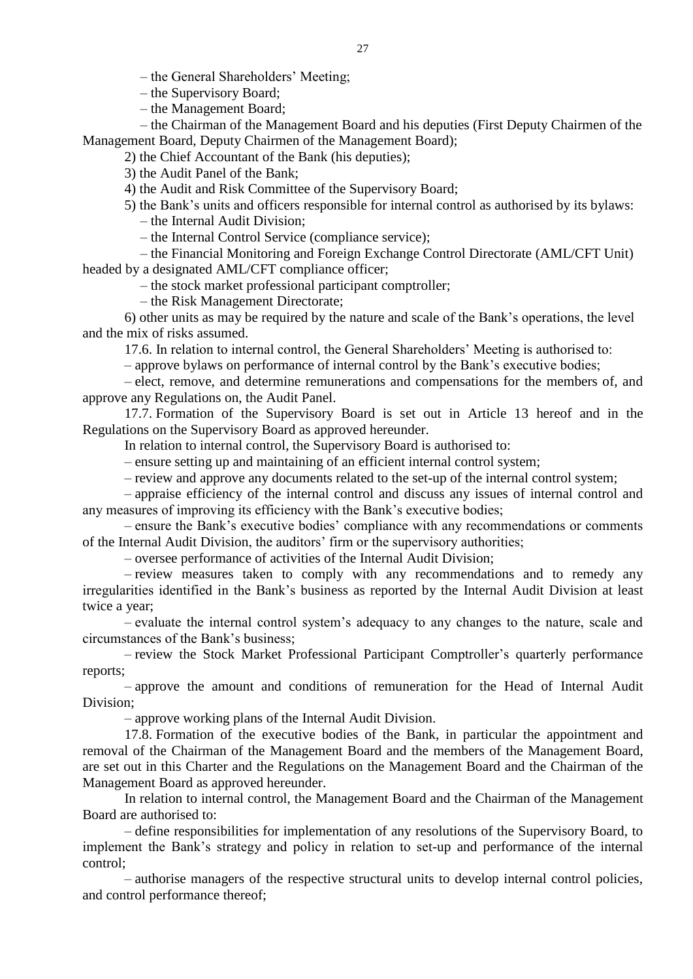– the General Shareholders' Meeting;

– the Supervisory Board;

– the Management Board;

– the Chairman of the Management Board and his deputies (First Deputy Chairmen of the Management Board, Deputy Chairmen of the Management Board);

2) the Chief Accountant of the Bank (his deputies);

3) the Audit Panel of the Bank;

4) the Audit and Risk Committee of the Supervisory Board;

5) the Bank's units and officers responsible for internal control as authorised by its bylaws: – the Internal Audit Division;

– the Internal Control Service (compliance service);

– the Financial Monitoring and Foreign Exchange Control Directorate (AML/CFT Unit) headed by a designated AML/CFT compliance officer;

– the stock market professional participant comptroller;

– the Risk Management Directorate;

6) other units as may be required by the nature and scale of the Bank's operations, the level and the mix of risks assumed.

17.6. In relation to internal control, the General Shareholders' Meeting is authorised to:

– approve bylaws on performance of internal control by the Bank's executive bodies;

– elect, remove, and determine remunerations and compensations for the members of, and approve any Regulations on, the Audit Panel.

17.7. Formation of the Supervisory Board is set out in Article 13 hereof and in the Regulations on the Supervisory Board as approved hereunder.

In relation to internal control, the Supervisory Board is authorised to:

– ensure setting up and maintaining of an efficient internal control system;

– review and approve any documents related to the set-up of the internal control system;

– appraise efficiency of the internal control and discuss any issues of internal control and any measures of improving its efficiency with the Bank's executive bodies;

– ensure the Bank's executive bodies' compliance with any recommendations or comments of the Internal Audit Division, the auditors' firm or the supervisory authorities;

– oversee performance of activities of the Internal Audit Division;

– review measures taken to comply with any recommendations and to remedy any irregularities identified in the Bank's business as reported by the Internal Audit Division at least twice a year;

– evaluate the internal control system's adequacy to any changes to the nature, scale and circumstances of the Bank's business;

– review the Stock Market Professional Participant Comptroller's quarterly performance reports;

– approve the amount and conditions of remuneration for the Head of Internal Audit Division;

– approve working plans of the Internal Audit Division.

17.8. Formation of the executive bodies of the Bank, in particular the appointment and removal of the Chairman of the Management Board and the members of the Management Board, are set out in this Charter and the Regulations on the Management Board and the Chairman of the Management Board as approved hereunder.

In relation to internal control, the Management Board and the Chairman of the Management Board are authorised to:

– define responsibilities for implementation of any resolutions of the Supervisory Board, to implement the Bank's strategy and policy in relation to set-up and performance of the internal control;

– authorise managers of the respective structural units to develop internal control policies, and control performance thereof;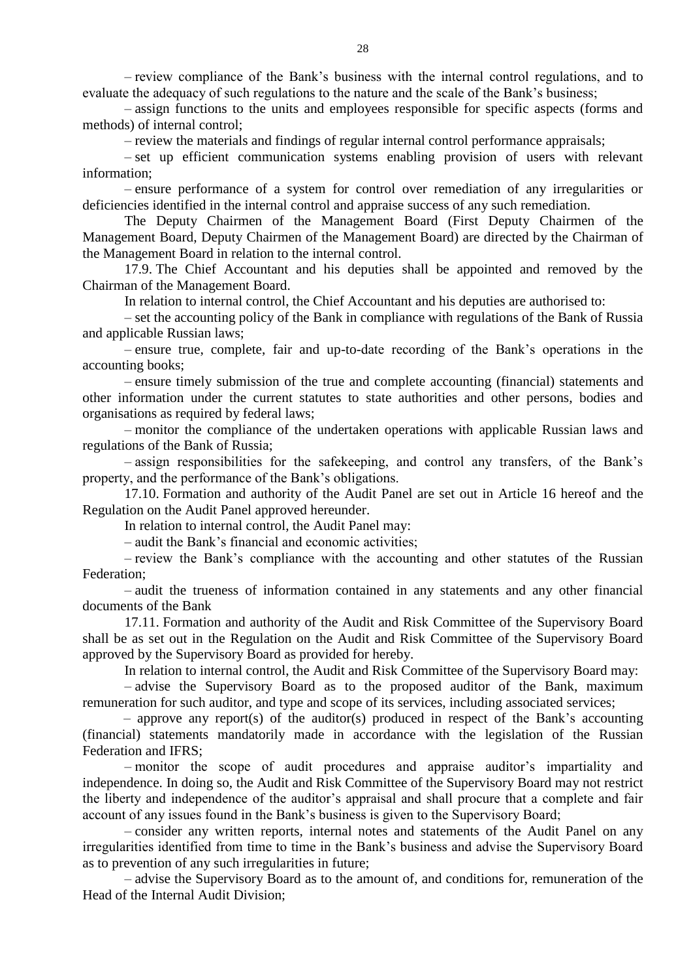– review compliance of the Bank's business with the internal control regulations, and to evaluate the adequacy of such regulations to the nature and the scale of the Bank's business;

– assign functions to the units and employees responsible for specific aspects (forms and methods) of internal control;

– review the materials and findings of regular internal control performance appraisals;

– set up efficient communication systems enabling provision of users with relevant information;

– ensure performance of a system for control over remediation of any irregularities or deficiencies identified in the internal control and appraise success of any such remediation.

The Deputy Chairmen of the Management Board (First Deputy Chairmen of the Management Board, Deputy Chairmen of the Management Board) are directed by the Chairman of the Management Board in relation to the internal control.

17.9. The Chief Accountant and his deputies shall be appointed and removed by the Chairman of the Management Board.

In relation to internal control, the Chief Accountant and his deputies are authorised to:

– set the accounting policy of the Bank in compliance with regulations of the Bank of Russia and applicable Russian laws;

– ensure true, complete, fair and up-to-date recording of the Bank's operations in the accounting books;

– ensure timely submission of the true and complete accounting (financial) statements and other information under the current statutes to state authorities and other persons, bodies and organisations as required by federal laws;

– monitor the compliance of the undertaken operations with applicable Russian laws and regulations of the Bank of Russia;

– assign responsibilities for the safekeeping, and control any transfers, of the Bank's property, and the performance of the Bank's obligations.

17.10. Formation and authority of the Audit Panel are set out in Article 16 hereof and the Regulation on the Audit Panel approved hereunder.

In relation to internal control, the Audit Panel may:

– audit the Bank's financial and economic activities;

– review the Bank's compliance with the accounting and other statutes of the Russian Federation;

– audit the trueness of information contained in any statements and any other financial documents of the Bank

17.11. Formation and authority of the Audit and Risk Committee of the Supervisory Board shall be as set out in the Regulation on the Audit and Risk Committee of the Supervisory Board approved by the Supervisory Board as provided for hereby.

In relation to internal control, the Audit and Risk Committee of the Supervisory Board may:

– advise the Supervisory Board as to the proposed auditor of the Bank, maximum remuneration for such auditor, and type and scope of its services, including associated services;

– approve any report(s) of the auditor(s) produced in respect of the Bank's accounting (financial) statements mandatorily made in accordance with the legislation of the Russian Federation and IFRS;

– monitor the scope of audit procedures and appraise auditor's impartiality and independence. In doing so, the Audit and Risk Committee of the Supervisory Board may not restrict the liberty and independence of the auditor's appraisal and shall procure that a complete and fair account of any issues found in the Bank's business is given to the Supervisory Board;

– consider any written reports, internal notes and statements of the Audit Panel on any irregularities identified from time to time in the Bank's business and advise the Supervisory Board as to prevention of any such irregularities in future;

– advise the Supervisory Board as to the amount of, and conditions for, remuneration of the Head of the Internal Audit Division;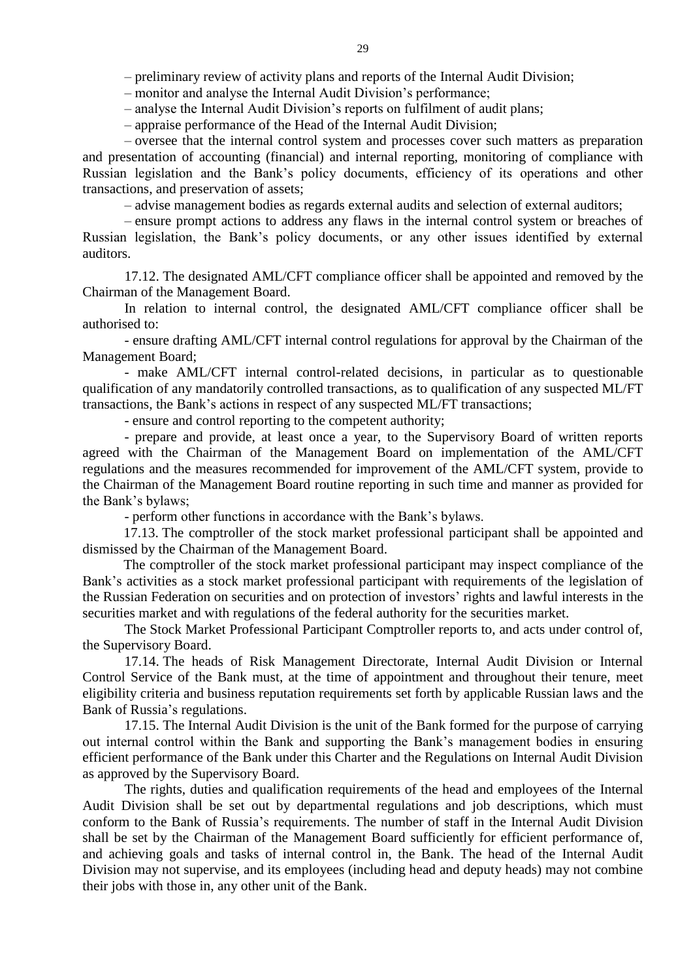– preliminary review of activity plans and reports of the Internal Audit Division;

– monitor and analyse the Internal Audit Division's performance;

– analyse the Internal Audit Division's reports on fulfilment of audit plans;

– appraise performance of the Head of the Internal Audit Division;

– oversee that the internal control system and processes cover such matters as preparation and presentation of accounting (financial) and internal reporting, monitoring of compliance with Russian legislation and the Bank's policy documents, efficiency of its operations and other transactions, and preservation of assets;

– advise management bodies as regards external audits and selection of external auditors;

– ensure prompt actions to address any flaws in the internal control system or breaches of Russian legislation, the Bank's policy documents, or any other issues identified by external auditors.

17.12. The designated AML/CFT compliance officer shall be appointed and removed by the Chairman of the Management Board.

In relation to internal control, the designated AML/CFT compliance officer shall be authorised to:

- ensure drafting AML/CFT internal control regulations for approval by the Chairman of the Management Board;

- make AML/CFT internal control-related decisions, in particular as to questionable qualification of any mandatorily controlled transactions, as to qualification of any suspected ML/FT transactions, the Bank's actions in respect of any suspected ML/FT transactions;

- ensure and control reporting to the competent authority;

- prepare and provide, at least once a year, to the Supervisory Board of written reports agreed with the Chairman of the Management Board on implementation of the AML/CFT regulations and the measures recommended for improvement of the AML/CFT system, provide to the Chairman of the Management Board routine reporting in such time and manner as provided for the Bank's bylaws;

- perform other functions in accordance with the Bank's bylaws.

17.13. The comptroller of the stock market professional participant shall be appointed and dismissed by the Chairman of the Management Board.

The comptroller of the stock market professional participant may inspect compliance of the Bank's activities as a stock market professional participant with requirements of the legislation of the Russian Federation on securities and on protection of investors' rights and lawful interests in the securities market and with regulations of the federal authority for the securities market.

The Stock Market Professional Participant Comptroller reports to, and acts under control of, the Supervisory Board.

17.14. The heads of Risk Management Directorate, Internal Audit Division or Internal Control Service of the Bank must, at the time of appointment and throughout their tenure, meet eligibility criteria and business reputation requirements set forth by applicable Russian laws and the Bank of Russia's regulations.

17.15. The Internal Audit Division is the unit of the Bank formed for the purpose of carrying out internal control within the Bank and supporting the Bank's management bodies in ensuring efficient performance of the Bank under this Charter and the Regulations on Internal Audit Division as approved by the Supervisory Board.

The rights, duties and qualification requirements of the head and employees of the Internal Audit Division shall be set out by departmental regulations and job descriptions, which must conform to the Bank of Russia's requirements. The number of staff in the Internal Audit Division shall be set by the Chairman of the Management Board sufficiently for efficient performance of, and achieving goals and tasks of internal control in, the Bank. The head of the Internal Audit Division may not supervise, and its employees (including head and deputy heads) may not combine their jobs with those in, any other unit of the Bank.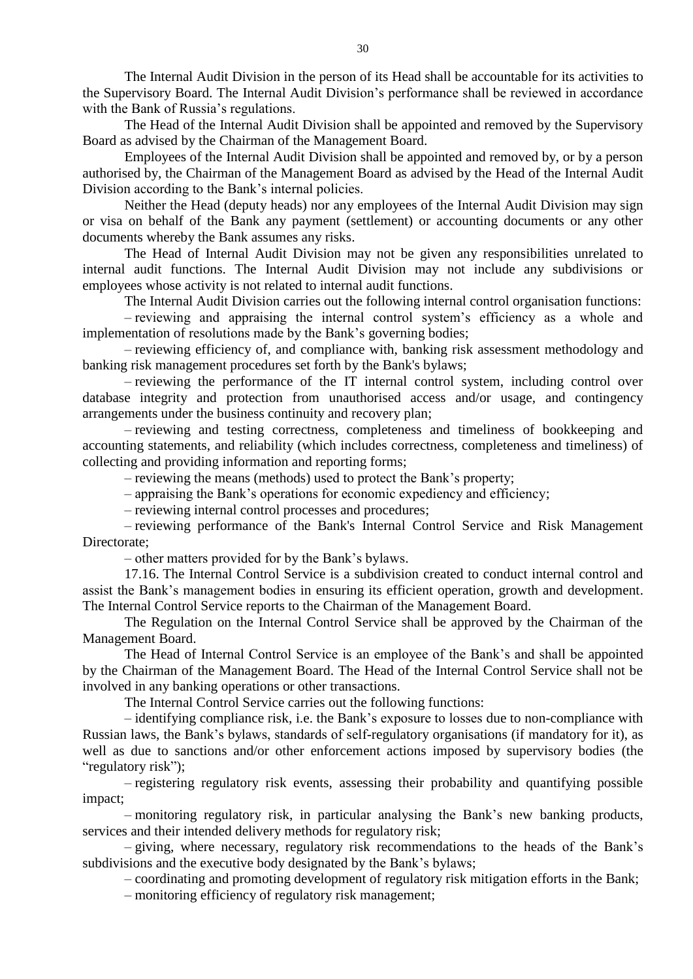The Internal Audit Division in the person of its Head shall be accountable for its activities to the Supervisory Board. The Internal Audit Division's performance shall be reviewed in accordance with the Bank of Russia's regulations.

The Head of the Internal Audit Division shall be appointed and removed by the Supervisory Board as advised by the Chairman of the Management Board.

Employees of the Internal Audit Division shall be appointed and removed by, or by a person authorised by, the Chairman of the Management Board as advised by the Head of the Internal Audit Division according to the Bank's internal policies.

Neither the Head (deputy heads) nor any employees of the Internal Audit Division may sign or visa on behalf of the Bank any payment (settlement) or accounting documents or any other documents whereby the Bank assumes any risks.

The Head of Internal Audit Division may not be given any responsibilities unrelated to internal audit functions. The Internal Audit Division may not include any subdivisions or employees whose activity is not related to internal audit functions.

The Internal Audit Division carries out the following internal control organisation functions:

– reviewing and appraising the internal control system's efficiency as a whole and implementation of resolutions made by the Bank's governing bodies;

– reviewing efficiency of, and compliance with, banking risk assessment methodology and banking risk management procedures set forth by the Bank's bylaws;

– reviewing the performance of the IT internal control system, including control over database integrity and protection from unauthorised access and/or usage, and contingency arrangements under the business continuity and recovery plan;

– reviewing and testing correctness, completeness and timeliness of bookkeeping and accounting statements, and reliability (which includes correctness, completeness and timeliness) of collecting and providing information and reporting forms;

– reviewing the means (methods) used to protect the Bank's property;

– appraising the Bank's operations for economic expediency and efficiency;

– reviewing internal control processes and procedures;

– reviewing performance of the Bank's Internal Control Service and Risk Management Directorate;

– other matters provided for by the Bank's bylaws.

17.16. The Internal Control Service is a subdivision created to conduct internal control and assist the Bank's management bodies in ensuring its efficient operation, growth and development. The Internal Control Service reports to the Chairman of the Management Board.

The Regulation on the Internal Control Service shall be approved by the Chairman of the Management Board.

The Head of Internal Control Service is an employee of the Bank's and shall be appointed by the Chairman of the Management Board. The Head of the Internal Control Service shall not be involved in any banking operations or other transactions.

The Internal Control Service carries out the following functions:

– identifying compliance risk, i.e. the Bank's exposure to losses due to non-compliance with Russian laws, the Bank's bylaws, standards of self-regulatory organisations (if mandatory for it), as well as due to sanctions and/or other enforcement actions imposed by supervisory bodies (the "regulatory risk";

– registering regulatory risk events, assessing their probability and quantifying possible impact;

– monitoring regulatory risk, in particular analysing the Bank's new banking products, services and their intended delivery methods for regulatory risk;

– giving, where necessary, regulatory risk recommendations to the heads of the Bank's subdivisions and the executive body designated by the Bank's bylaws;

– coordinating and promoting development of regulatory risk mitigation efforts in the Bank;

– monitoring efficiency of regulatory risk management;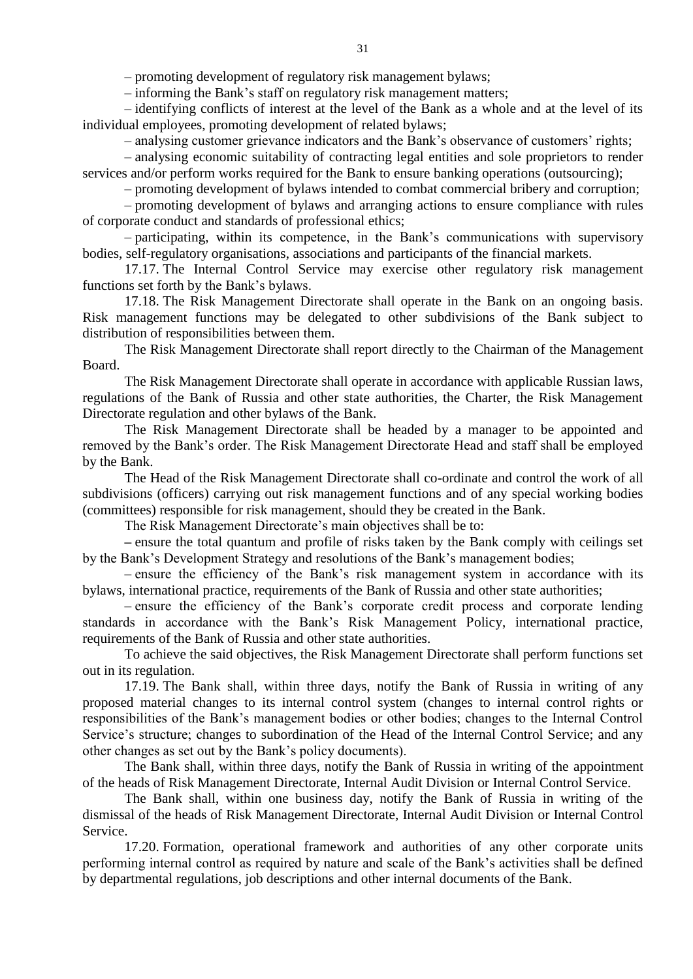– promoting development of regulatory risk management bylaws;

– informing the Bank's staff on regulatory risk management matters;

– identifying conflicts of interest at the level of the Bank as a whole and at the level of its individual employees, promoting development of related bylaws;

– analysing customer grievance indicators and the Bank's observance of customers' rights;

– analysing economic suitability of contracting legal entities and sole proprietors to render services and/or perform works required for the Bank to ensure banking operations (outsourcing);

– promoting development of bylaws intended to combat commercial bribery and corruption;

– promoting development of bylaws and arranging actions to ensure compliance with rules of corporate conduct and standards of professional ethics;

– participating, within its competence, in the Bank's communications with supervisory bodies, self-regulatory organisations, associations and participants of the financial markets.

17.17. The Internal Control Service may exercise other regulatory risk management functions set forth by the Bank's bylaws.

17.18. The Risk Management Directorate shall operate in the Bank on an ongoing basis. Risk management functions may be delegated to other subdivisions of the Bank subject to distribution of responsibilities between them.

The Risk Management Directorate shall report directly to the Chairman of the Management Board.

The Risk Management Directorate shall operate in accordance with applicable Russian laws, regulations of the Bank of Russia and other state authorities, the Charter, the Risk Management Directorate regulation and other bylaws of the Bank.

The Risk Management Directorate shall be headed by a manager to be appointed and removed by the Bank's order. The Risk Management Directorate Head and staff shall be employed by the Bank.

The Head of the Risk Management Directorate shall co-ordinate and control the work of all subdivisions (officers) carrying out risk management functions and of any special working bodies (committees) responsible for risk management, should they be created in the Bank.

The Risk Management Directorate's main objectives shall be to:

**–** ensure the total quantum and profile of risks taken by the Bank comply with ceilings set by the Bank's Development Strategy and resolutions of the Bank's management bodies;

– ensure the efficiency of the Bank's risk management system in accordance with its bylaws, international practice, requirements of the Bank of Russia and other state authorities;

– ensure the efficiency of the Bank's corporate credit process and corporate lending standards in accordance with the Bank's Risk Management Policy, international practice, requirements of the Bank of Russia and other state authorities.

To achieve the said objectives, the Risk Management Directorate shall perform functions set out in its regulation.

17.19. The Bank shall, within three days, notify the Bank of Russia in writing of any proposed material changes to its internal control system (changes to internal control rights or responsibilities of the Bank's management bodies or other bodies; changes to the Internal Control Service's structure; changes to subordination of the Head of the Internal Control Service; and any other changes as set out by the Bank's policy documents).

The Bank shall, within three days, notify the Bank of Russia in writing of the appointment of the heads of Risk Management Directorate, Internal Audit Division or Internal Control Service.

The Bank shall, within one business day, notify the Bank of Russia in writing of the dismissal of the heads of Risk Management Directorate, Internal Audit Division or Internal Control Service.

17.20. Formation, operational framework and authorities of any other corporate units performing internal control as required by nature and scale of the Bank's activities shall be defined by departmental regulations, job descriptions and other internal documents of the Bank.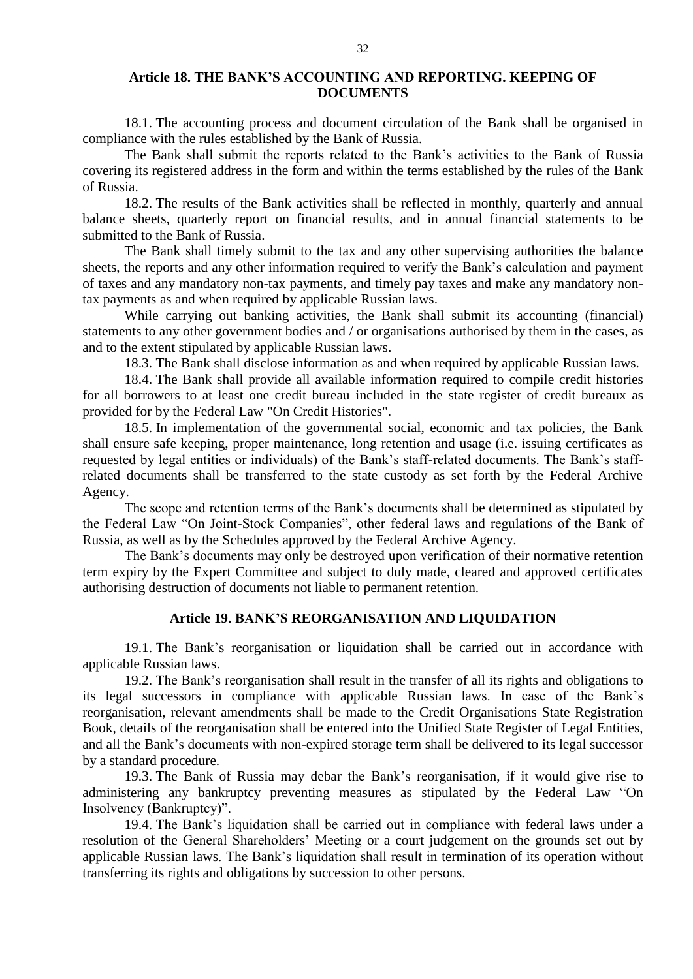## **Article 18. THE BANK'S ACCOUNTING AND REPORTING. KEEPING OF DOCUMENTS**

18.1. The accounting process and document circulation of the Bank shall be organised in compliance with the rules established by the Bank of Russia.

The Bank shall submit the reports related to the Bank's activities to the Bank of Russia covering its registered address in the form and within the terms established by the rules of the Bank of Russia.

18.2. The results of the Bank activities shall be reflected in monthly, quarterly and annual balance sheets, quarterly report on financial results, and in annual financial statements to be submitted to the Bank of Russia.

The Bank shall timely submit to the tax and any other supervising authorities the balance sheets, the reports and any other information required to verify the Bank's calculation and payment of taxes and any mandatory non-tax payments, and timely pay taxes and make any mandatory nontax payments as and when required by applicable Russian laws.

While carrying out banking activities, the Bank shall submit its accounting (financial) statements to any other government bodies and / or organisations authorised by them in the cases, as and to the extent stipulated by applicable Russian laws.

18.3. The Bank shall disclose information as and when required by applicable Russian laws.

18.4. The Bank shall provide all available information required to compile credit histories for all borrowers to at least one credit bureau included in the state register of credit bureaux as provided for by the Federal Law "On Credit Histories".

18.5. In implementation of the governmental social, economic and tax policies, the Bank shall ensure safe keeping, proper maintenance, long retention and usage (i.e. issuing certificates as requested by legal entities or individuals) of the Bank's staff-related documents. The Bank's staffrelated documents shall be transferred to the state custody as set forth by the Federal Archive Agency.

The scope and retention terms of the Bank's documents shall be determined as stipulated by the Federal Law "On Joint-Stock Companies", other federal laws and regulations of the Bank of Russia, as well as by the Schedules approved by the Federal Archive Agency.

The Bank's documents may only be destroyed upon verification of their normative retention term expiry by the Expert Committee and subject to duly made, cleared and approved certificates authorising destruction of documents not liable to permanent retention.

## **Article 19. BANK'S REORGANISATION AND LIQUIDATION**

19.1. The Bank's reorganisation or liquidation shall be carried out in accordance with applicable Russian laws.

19.2. The Bank's reorganisation shall result in the transfer of all its rights and obligations to its legal successors in compliance with applicable Russian laws. In case of the Bank's reorganisation, relevant amendments shall be made to the Credit Organisations State Registration Book, details of the reorganisation shall be entered into the Unified State Register of Legal Entities, and all the Bank's documents with non-expired storage term shall be delivered to its legal successor by a standard procedure.

19.3. The Bank of Russia may debar the Bank's reorganisation, if it would give rise to administering any bankruptcy preventing measures as stipulated by the Federal Law "On Insolvency (Bankruptcy)".

19.4. The Bank's liquidation shall be carried out in compliance with federal laws under a resolution of the General Shareholders' Meeting or a court judgement on the grounds set out by applicable Russian laws. The Bank's liquidation shall result in termination of its operation without transferring its rights and obligations by succession to other persons.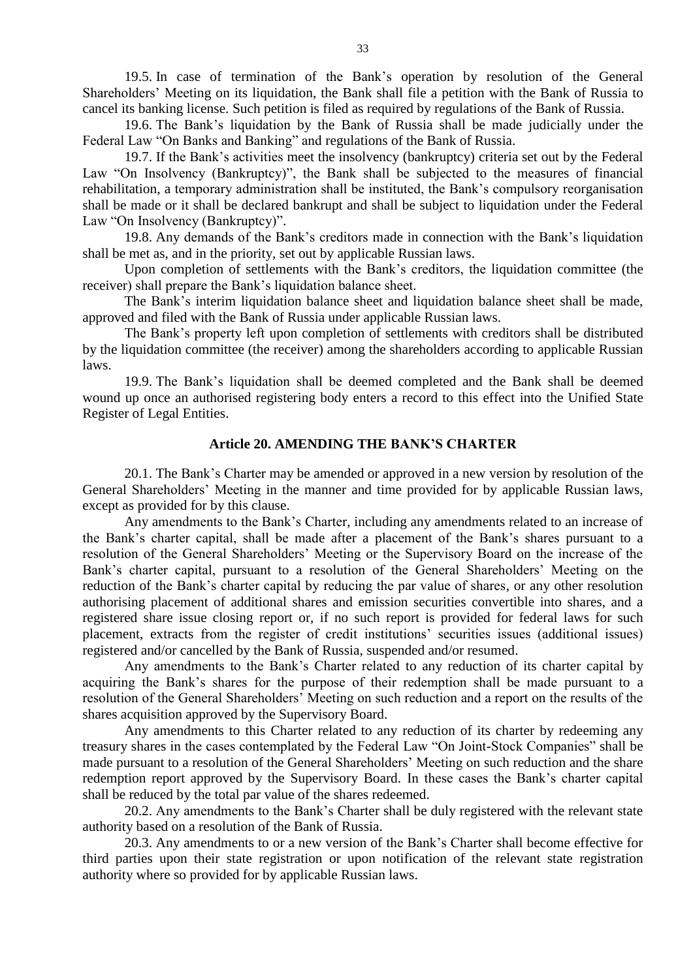19.5. In case of termination of the Bank's operation by resolution of the General Shareholders' Meeting on its liquidation, the Bank shall file a petition with the Bank of Russia to cancel its banking license. Such petition is filed as required by regulations of the Bank of Russia.

19.6. The Bank's liquidation by the Bank of Russia shall be made judicially under the Federal Law "On Banks and Banking" and regulations of the Bank of Russia.

19.7. If the Bank's activities meet the insolvency (bankruptcy) criteria set out by the Federal Law "On Insolvency (Bankruptcy)", the Bank shall be subjected to the measures of financial rehabilitation, a temporary administration shall be instituted, the Bank's compulsory reorganisation shall be made or it shall be declared bankrupt and shall be subject to liquidation under the Federal Law "On Insolvency (Bankruptcy)".

19.8. Any demands of the Bank's creditors made in connection with the Bank's liquidation shall be met as, and in the priority, set out by applicable Russian laws.

Upon completion of settlements with the Bank's creditors, the liquidation committee (the receiver) shall prepare the Bank's liquidation balance sheet.

The Bank's interim liquidation balance sheet and liquidation balance sheet shall be made, approved and filed with the Bank of Russia under applicable Russian laws.

The Bank's property left upon completion of settlements with creditors shall be distributed by the liquidation committee (the receiver) among the shareholders according to applicable Russian laws.

19.9. The Bank's liquidation shall be deemed completed and the Bank shall be deemed wound up once an authorised registering body enters a record to this effect into the Unified State Register of Legal Entities.

## **Article 20. AMENDING THE BANK'S CHARTER**

20.1. The Bank's Charter may be amended or approved in a new version by resolution of the General Shareholders' Meeting in the manner and time provided for by applicable Russian laws, except as provided for by this clause.

Any amendments to the Bank's Charter, including any amendments related to an increase of the Bank's charter capital, shall be made after a placement of the Bank's shares pursuant to a resolution of the General Shareholders' Meeting or the Supervisory Board on the increase of the Bank's charter capital, pursuant to a resolution of the General Shareholders' Meeting on the reduction of the Bank's charter capital by reducing the par value of shares, or any other resolution authorising placement of additional shares and emission securities convertible into shares, and a registered share issue closing report or, if no such report is provided for federal laws for such placement, extracts from the register of credit institutions' securities issues (additional issues) registered and/or cancelled by the Bank of Russia, suspended and/or resumed.

Any amendments to the Bank's Charter related to any reduction of its charter capital by acquiring the Bank's shares for the purpose of their redemption shall be made pursuant to a resolution of the General Shareholders' Meeting on such reduction and a report on the results of the shares acquisition approved by the Supervisory Board.

Any amendments to this Charter related to any reduction of its charter by redeeming any treasury shares in the cases contemplated by the Federal Law "On Joint-Stock Companies" shall be made pursuant to a resolution of the General Shareholders' Meeting on such reduction and the share redemption report approved by the Supervisory Board. In these cases the Bank's charter capital shall be reduced by the total par value of the shares redeemed.

20.2. Any amendments to the Bank's Charter shall be duly registered with the relevant state authority based on a resolution of the Bank of Russia.

20.3. Any amendments to or a new version of the Bank's Charter shall become effective for third parties upon their state registration or upon notification of the relevant state registration authority where so provided for by applicable Russian laws.